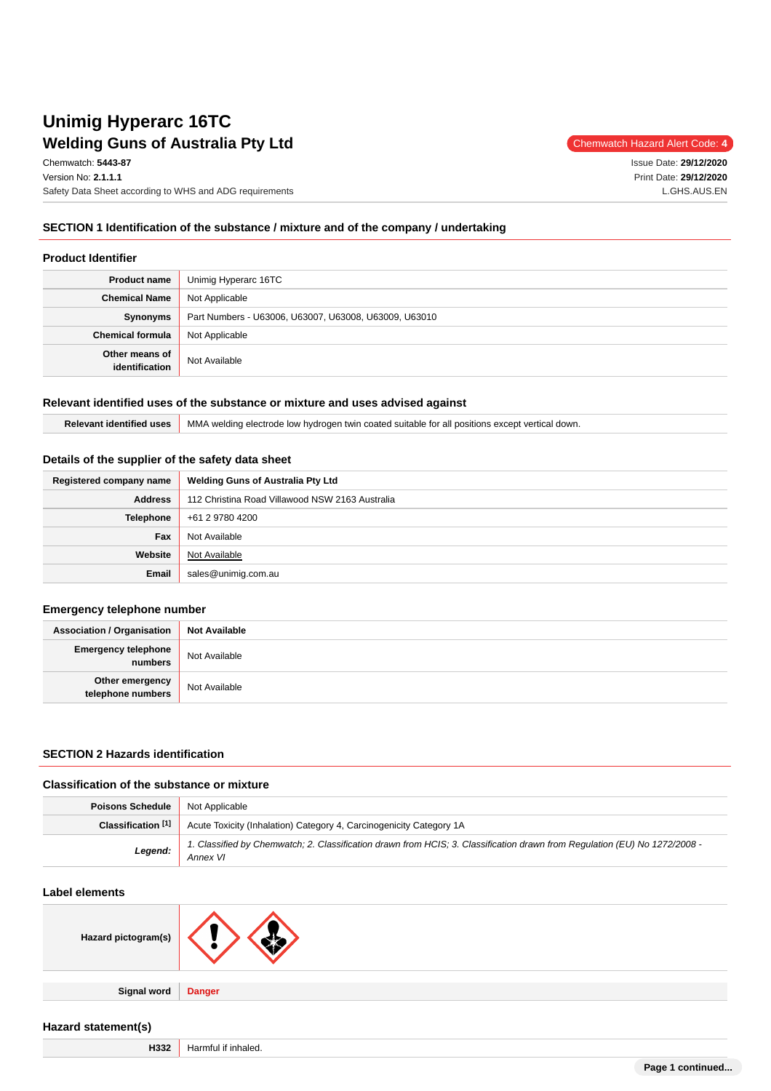# **Welding Guns of Australia Pty Ltd** Chemwatch Hazard Alert Code: 4 **Unimig Hyperarc 16TC**

Chemwatch: **5443-87**

Version No: **2.1.1.1** Safety Data Sheet according to WHS and ADG requirements Issue Date: **29/12/2020** Print Date: **29/12/2020** L.GHS.AUS.EN

## **SECTION 1 Identification of the substance / mixture and of the company / undertaking**

#### **Product Identifier**

| <b>Product name</b>              | Unimig Hyperarc 16TC                                  |
|----------------------------------|-------------------------------------------------------|
| <b>Chemical Name</b>             | Not Applicable                                        |
| Synonyms                         | Part Numbers - U63006, U63007, U63008, U63009, U63010 |
| <b>Chemical formula</b>          | Not Applicable                                        |
| Other means of<br>identification | Not Available                                         |

## **Relevant identified uses of the substance or mixture and uses advised against**

|  | Relevant identified uses MMA welding electrode low hydrogen twin coated suitable for all positions except vertical down. |
|--|--------------------------------------------------------------------------------------------------------------------------|
|--|--------------------------------------------------------------------------------------------------------------------------|

## **Details of the supplier of the safety data sheet**

| Registered company name | <b>Welding Guns of Australia Pty Ltd</b>        |
|-------------------------|-------------------------------------------------|
| <b>Address</b>          | 112 Christina Road Villawood NSW 2163 Australia |
| Telephone               | +61 2 9780 4200                                 |
| Fax                     | Not Available                                   |
| Website                 | Not Available                                   |
| Email                   | sales@unimig.com.au                             |

## **Emergency telephone number**

| <b>Association / Organisation</b>    | <b>Not Available</b> |
|--------------------------------------|----------------------|
| Emergency telephone<br>numbers       | Not Available        |
| Other emergency<br>telephone numbers | Not Available        |

## **SECTION 2 Hazards identification**

#### **Classification of the substance or mixture**

| <b>Poisons Schedule</b> Not Applicable |                                                                                                                                        |
|----------------------------------------|----------------------------------------------------------------------------------------------------------------------------------------|
|                                        | <b>Classification [1]</b> Acute Toxicity (Inhalation) Category 4, Carcinogenicity Category 1A                                          |
| Legend:                                | 1. Classified by Chemwatch; 2. Classification drawn from HCIS; 3. Classification drawn from Regulation (EU) No 1272/2008 -<br>Annex VI |

## **Label elements**

| Hazard pictogram(s) |  |
|---------------------|--|
|---------------------|--|

**Signal word Danger**

# **Hazard statement(s)**

**H332** Harmful if inhaled.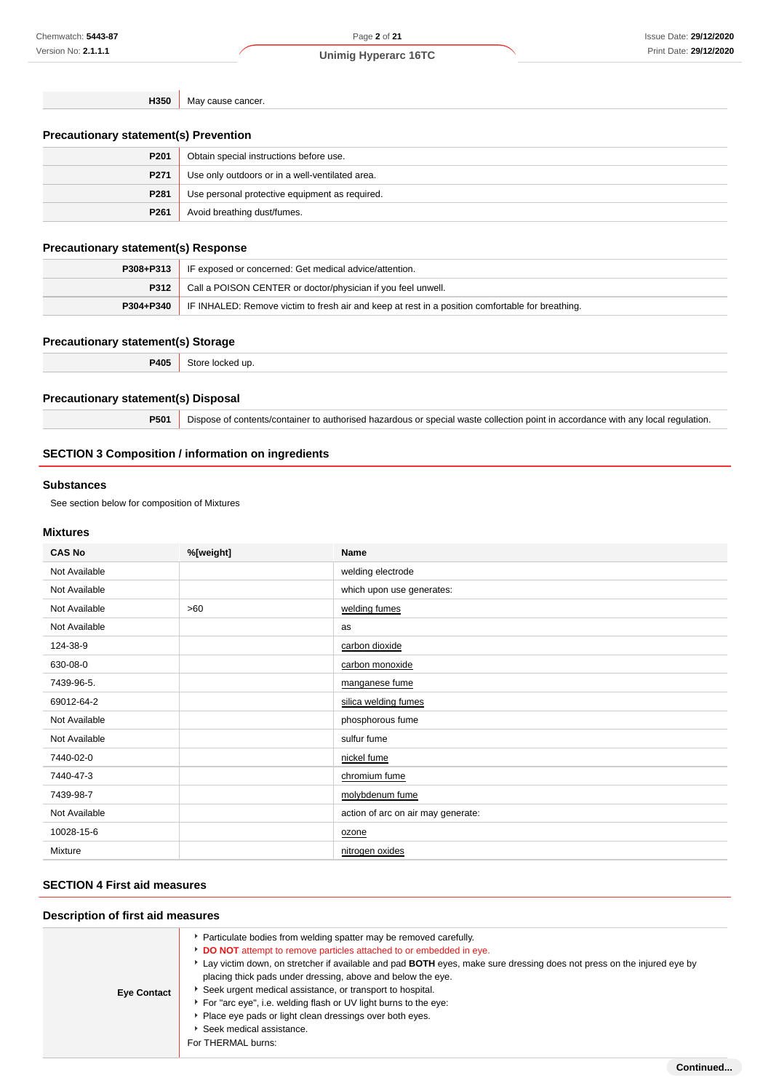**H350** May cause cancer.

## **Precautionary statement(s) Prevention**

| P201             | Obtain special instructions before use.         |
|------------------|-------------------------------------------------|
| P <sub>271</sub> | Use only outdoors or in a well-ventilated area. |
| P281             | Use personal protective equipment as required.  |
| P <sub>261</sub> | Avoid breathing dust/fumes.                     |

## **Precautionary statement(s) Response**

|               | <b>P308+P313</b> IF exposed or concerned: Get medical advice/attention.                          |  |
|---------------|--------------------------------------------------------------------------------------------------|--|
|               | <b>P312</b> Call a POISON CENTER or doctor/physician if you feel unwell.                         |  |
| $P304 + P340$ | IF INHALED: Remove victim to fresh air and keep at rest in a position comfortable for breathing. |  |

#### **Precautionary statement(s) Storage**

| 2405 | :ке<br>510<br>. |
|------|-----------------|
|      |                 |

## **Precautionary statement(s) Disposal**

**P501** Dispose of contents/container to authorised hazardous or special waste collection point in accordance with any local regulation.

## **SECTION 3 Composition / information on ingredients**

#### **Substances**

See section below for composition of Mixtures

# **Mixtures**

| <b>CAS No</b> | %[weight] | <b>Name</b>                        |
|---------------|-----------|------------------------------------|
| Not Available |           | welding electrode                  |
| Not Available |           | which upon use generates:          |
| Not Available | >60       | welding fumes                      |
| Not Available |           | as                                 |
| 124-38-9      |           | carbon dioxide                     |
| 630-08-0      |           | carbon monoxide                    |
| 7439-96-5.    |           | manganese fume                     |
| 69012-64-2    |           | silica welding fumes               |
| Not Available |           | phosphorous fume                   |
| Not Available |           | sulfur fume                        |
| 7440-02-0     |           | nickel fume                        |
| 7440-47-3     |           | chromium fume                      |
| 7439-98-7     |           | molybdenum fume                    |
| Not Available |           | action of arc on air may generate: |
| 10028-15-6    |           | ozone                              |
| Mixture       |           | nitrogen oxides                    |

# **SECTION 4 First aid measures**

## **Description of first aid measures**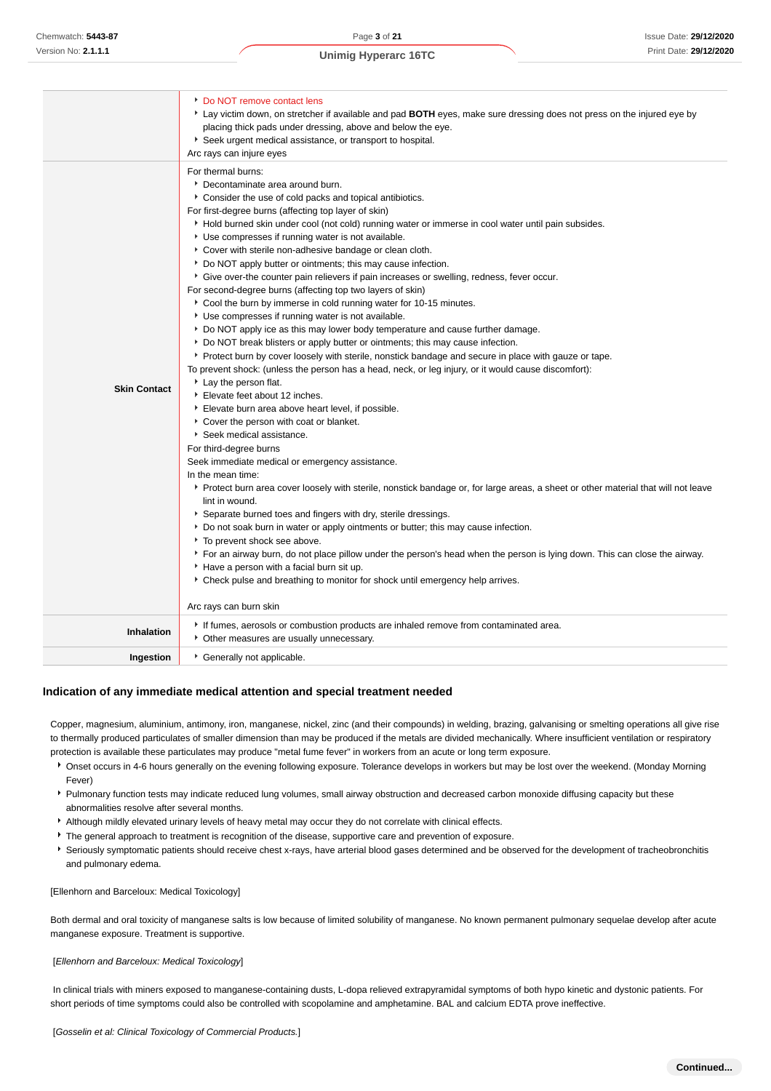| <b>Skin Contact</b> | Do NOT remove contact lens<br>Lay victim down, on stretcher if available and pad BOTH eyes, make sure dressing does not press on the injured eye by<br>placing thick pads under dressing, above and below the eye.<br>Seek urgent medical assistance, or transport to hospital.<br>Arc rays can injure eyes<br>For thermal burns:<br>Decontaminate area around burn.<br>Consider the use of cold packs and topical antibiotics.<br>For first-degree burns (affecting top layer of skin)<br>• Hold burned skin under cool (not cold) running water or immerse in cool water until pain subsides.<br>Use compresses if running water is not available.<br>Cover with sterile non-adhesive bandage or clean cloth.<br>* Do NOT apply butter or ointments; this may cause infection.<br>Give over-the counter pain relievers if pain increases or swelling, redness, fever occur.<br>For second-degree burns (affecting top two layers of skin)<br>Cool the burn by immerse in cold running water for 10-15 minutes.<br>Use compresses if running water is not available.<br>▶ Do NOT apply ice as this may lower body temperature and cause further damage.<br>* Do NOT break blisters or apply butter or ointments; this may cause infection.<br>• Protect burn by cover loosely with sterile, nonstick bandage and secure in place with gauze or tape.<br>To prevent shock: (unless the person has a head, neck, or leg injury, or it would cause discomfort):<br>Lay the person flat.<br>Elevate feet about 12 inches.<br>Elevate burn area above heart level, if possible.<br>Cover the person with coat or blanket.<br>Seek medical assistance.<br>For third-degree burns<br>Seek immediate medical or emergency assistance.<br>In the mean time:<br>▶ Protect burn area cover loosely with sterile, nonstick bandage or, for large areas, a sheet or other material that will not leave<br>lint in wound.<br>Separate burned toes and fingers with dry, sterile dressings.<br>▶ Do not soak burn in water or apply ointments or butter; this may cause infection.<br>To prevent shock see above.<br>For an airway burn, do not place pillow under the person's head when the person is lying down. This can close the airway.<br>Have a person with a facial burn sit up. |
|---------------------|------------------------------------------------------------------------------------------------------------------------------------------------------------------------------------------------------------------------------------------------------------------------------------------------------------------------------------------------------------------------------------------------------------------------------------------------------------------------------------------------------------------------------------------------------------------------------------------------------------------------------------------------------------------------------------------------------------------------------------------------------------------------------------------------------------------------------------------------------------------------------------------------------------------------------------------------------------------------------------------------------------------------------------------------------------------------------------------------------------------------------------------------------------------------------------------------------------------------------------------------------------------------------------------------------------------------------------------------------------------------------------------------------------------------------------------------------------------------------------------------------------------------------------------------------------------------------------------------------------------------------------------------------------------------------------------------------------------------------------------------------------------------------------------------------------------------------------------------------------------------------------------------------------------------------------------------------------------------------------------------------------------------------------------------------------------------------------------------------------------------------------------------------------------------------------------------------------------------------------------------------------------------------|
|                     | ▶ Check pulse and breathing to monitor for shock until emergency help arrives.                                                                                                                                                                                                                                                                                                                                                                                                                                                                                                                                                                                                                                                                                                                                                                                                                                                                                                                                                                                                                                                                                                                                                                                                                                                                                                                                                                                                                                                                                                                                                                                                                                                                                                                                                                                                                                                                                                                                                                                                                                                                                                                                                                                               |
|                     | Arc rays can burn skin                                                                                                                                                                                                                                                                                                                                                                                                                                                                                                                                                                                                                                                                                                                                                                                                                                                                                                                                                                                                                                                                                                                                                                                                                                                                                                                                                                                                                                                                                                                                                                                                                                                                                                                                                                                                                                                                                                                                                                                                                                                                                                                                                                                                                                                       |
| Inhalation          | If fumes, aerosols or combustion products are inhaled remove from contaminated area.<br>• Other measures are usually unnecessary.                                                                                                                                                                                                                                                                                                                                                                                                                                                                                                                                                                                                                                                                                                                                                                                                                                                                                                                                                                                                                                                                                                                                                                                                                                                                                                                                                                                                                                                                                                                                                                                                                                                                                                                                                                                                                                                                                                                                                                                                                                                                                                                                            |
| Ingestion           | Cenerally not applicable.                                                                                                                                                                                                                                                                                                                                                                                                                                                                                                                                                                                                                                                                                                                                                                                                                                                                                                                                                                                                                                                                                                                                                                                                                                                                                                                                                                                                                                                                                                                                                                                                                                                                                                                                                                                                                                                                                                                                                                                                                                                                                                                                                                                                                                                    |

#### **Indication of any immediate medical attention and special treatment needed**

Copper, magnesium, aluminium, antimony, iron, manganese, nickel, zinc (and their compounds) in welding, brazing, galvanising or smelting operations all give rise to thermally produced particulates of smaller dimension than may be produced if the metals are divided mechanically. Where insufficient ventilation or respiratory protection is available these particulates may produce "metal fume fever" in workers from an acute or long term exposure.

- Onset occurs in 4-6 hours generally on the evening following exposure. Tolerance develops in workers but may be lost over the weekend. (Monday Morning Fever)
- Pulmonary function tests may indicate reduced lung volumes, small airway obstruction and decreased carbon monoxide diffusing capacity but these abnormalities resolve after several months.
- Although mildly elevated urinary levels of heavy metal may occur they do not correlate with clinical effects.
- The general approach to treatment is recognition of the disease, supportive care and prevention of exposure.
- Seriously symptomatic patients should receive chest x-rays, have arterial blood gases determined and be observed for the development of tracheobronchitis and pulmonary edema.

#### [Ellenhorn and Barceloux: Medical Toxicology]

Both dermal and oral toxicity of manganese salts is low because of limited solubility of manganese. No known permanent pulmonary sequelae develop after acute manganese exposure. Treatment is supportive.

#### [Ellenhorn and Barceloux: Medical Toxicology]

 In clinical trials with miners exposed to manganese-containing dusts, L-dopa relieved extrapyramidal symptoms of both hypo kinetic and dystonic patients. For short periods of time symptoms could also be controlled with scopolamine and amphetamine. BAL and calcium EDTA prove ineffective.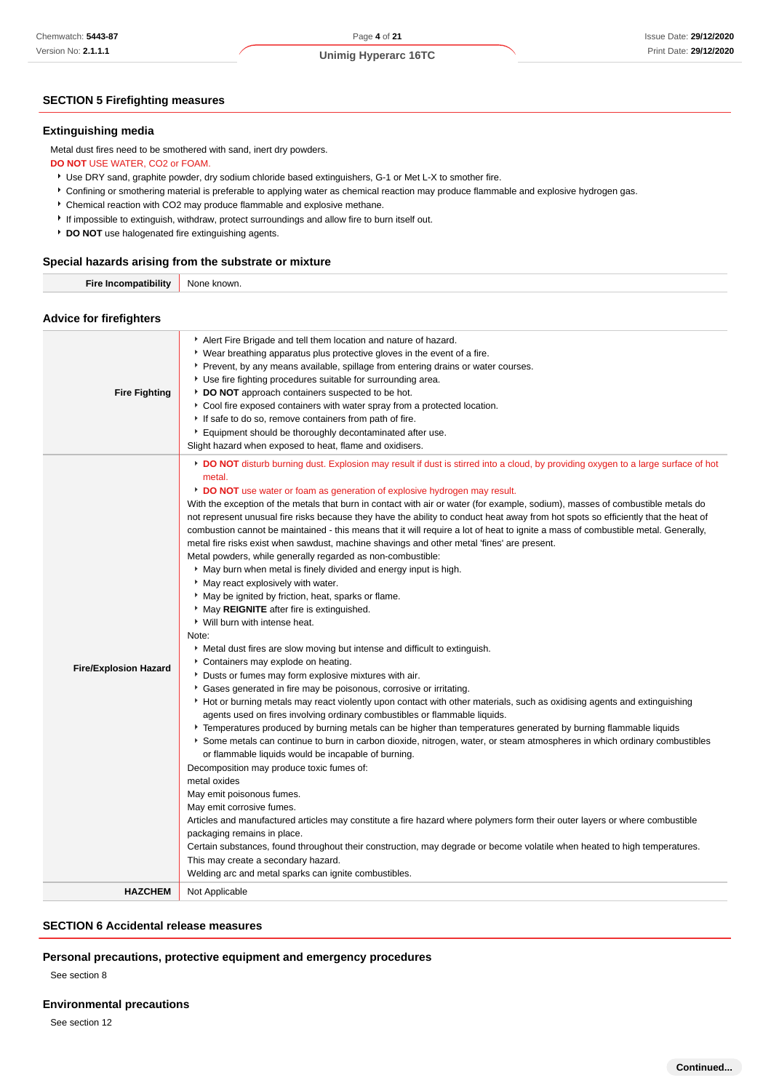# Page **4** of **21 Unimig Hyperarc 16TC**

## **SECTION 5 Firefighting measures**

#### **Extinguishing media**

Metal dust fires need to be smothered with sand, inert dry powders.

#### **DO NOT** USE WATER, CO2 or FOAM.

Use DRY sand, graphite powder, dry sodium chloride based extinguishers, G-1 or Met L-X to smother fire.

- Confining or smothering material is preferable to applying water as chemical reaction may produce flammable and explosive hydrogen gas.
- Chemical reaction with CO2 may produce flammable and explosive methane.
- If impossible to extinguish, withdraw, protect surroundings and allow fire to burn itself out.
- **b** DO NOT use halogenated fire extinguishing agents.

## **Special hazards arising from the substrate or mixture**

| Fire  | None   |
|-------|--------|
| nromi | known. |
|       |        |

**Advice for firefighters**

| DO NOT disturb burning dust. Explosion may result if dust is stirred into a cloud, by providing oxygen to a large surface of hot<br>metal.<br>DO NOT use water or foam as generation of explosive hydrogen may result.<br>With the exception of the metals that burn in contact with air or water (for example, sodium), masses of combustible metals do<br>not represent unusual fire risks because they have the ability to conduct heat away from hot spots so efficiently that the heat of<br>combustion cannot be maintained - this means that it will require a lot of heat to ignite a mass of combustible metal. Generally,<br>metal fire risks exist when sawdust, machine shavings and other metal 'fines' are present.<br>Metal powders, while generally regarded as non-combustible:<br>May burn when metal is finely divided and energy input is high.<br>* May react explosively with water.<br>May be ignited by friction, heat, sparks or flame.<br>May REIGNITE after fire is extinguished.<br>Vill burn with intense heat.<br>Note:<br>• Metal dust fires are slow moving but intense and difficult to extinguish.<br>Containers may explode on heating.<br><b>Fire/Explosion Hazard</b><br>Dusts or fumes may form explosive mixtures with air.<br>Gases generated in fire may be poisonous, corrosive or irritating.<br>▶ Hot or burning metals may react violently upon contact with other materials, such as oxidising agents and extinguishing<br>agents used on fires involving ordinary combustibles or flammable liquids.<br>Femperatures produced by burning metals can be higher than temperatures generated by burning flammable liquids<br>Some metals can continue to burn in carbon dioxide, nitrogen, water, or steam atmospheres in which ordinary combustibles<br>or flammable liquids would be incapable of burning.<br>Decomposition may produce toxic fumes of:<br>metal oxides<br>May emit poisonous fumes.<br>May emit corrosive fumes.<br>Articles and manufactured articles may constitute a fire hazard where polymers form their outer layers or where combustible<br>packaging remains in place.<br>Certain substances, found throughout their construction, may degrade or become volatile when heated to high temperatures.<br>This may create a secondary hazard.<br>Welding arc and metal sparks can ignite combustibles. | <b>Fire Fighting</b> | Alert Fire Brigade and tell them location and nature of hazard.<br>• Wear breathing apparatus plus protective gloves in the event of a fire.<br>Prevent, by any means available, spillage from entering drains or water courses.<br>▶ Use fire fighting procedures suitable for surrounding area.<br>DO NOT approach containers suspected to be hot.<br>Cool fire exposed containers with water spray from a protected location.<br>If safe to do so, remove containers from path of fire.<br>Equipment should be thoroughly decontaminated after use.<br>Slight hazard when exposed to heat, flame and oxidisers. |
|----------------------------------------------------------------------------------------------------------------------------------------------------------------------------------------------------------------------------------------------------------------------------------------------------------------------------------------------------------------------------------------------------------------------------------------------------------------------------------------------------------------------------------------------------------------------------------------------------------------------------------------------------------------------------------------------------------------------------------------------------------------------------------------------------------------------------------------------------------------------------------------------------------------------------------------------------------------------------------------------------------------------------------------------------------------------------------------------------------------------------------------------------------------------------------------------------------------------------------------------------------------------------------------------------------------------------------------------------------------------------------------------------------------------------------------------------------------------------------------------------------------------------------------------------------------------------------------------------------------------------------------------------------------------------------------------------------------------------------------------------------------------------------------------------------------------------------------------------------------------------------------------------------------------------------------------------------------------------------------------------------------------------------------------------------------------------------------------------------------------------------------------------------------------------------------------------------------------------------------------------------------------------------------------------------------------------------------------------------------------------|----------------------|--------------------------------------------------------------------------------------------------------------------------------------------------------------------------------------------------------------------------------------------------------------------------------------------------------------------------------------------------------------------------------------------------------------------------------------------------------------------------------------------------------------------------------------------------------------------------------------------------------------------|
| <b>HAZCHEM</b><br>Not Applicable                                                                                                                                                                                                                                                                                                                                                                                                                                                                                                                                                                                                                                                                                                                                                                                                                                                                                                                                                                                                                                                                                                                                                                                                                                                                                                                                                                                                                                                                                                                                                                                                                                                                                                                                                                                                                                                                                                                                                                                                                                                                                                                                                                                                                                                                                                                                           |                      |                                                                                                                                                                                                                                                                                                                                                                                                                                                                                                                                                                                                                    |

## **SECTION 6 Accidental release measures**

#### **Personal precautions, protective equipment and emergency procedures**

See section 8

#### **Environmental precautions**

See section 12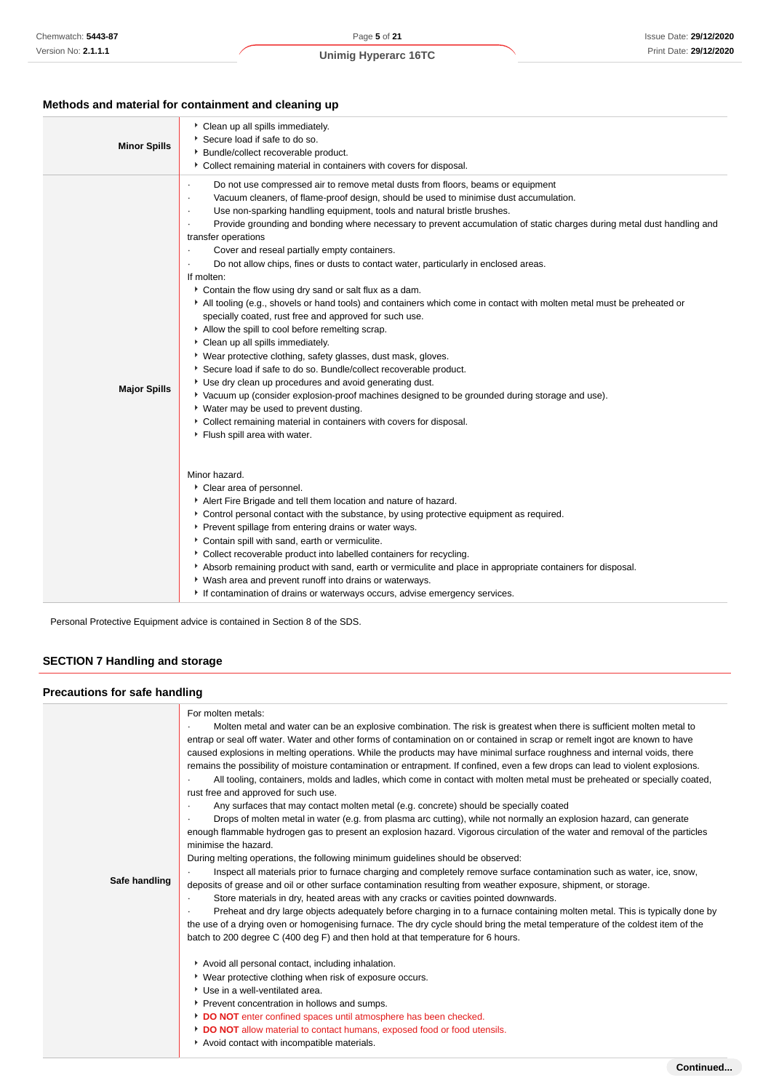# **Methods and material for containment and cleaning up**

| <b>Minor Spills</b> | Clean up all spills immediately.<br>Secure load if safe to do so.<br>• Bundle/collect recoverable product.<br>• Collect remaining material in containers with covers for disposal.                                                                                                                                                                                                                                                                                                                                                                                                                                                                                                                                                                                                                                                                                                                                                                                                                                                                                                                                                                                                                                                                                                                                                                                                                                                                                                                                                                                                                                                                                                                                                                                                                                                                                           |
|---------------------|------------------------------------------------------------------------------------------------------------------------------------------------------------------------------------------------------------------------------------------------------------------------------------------------------------------------------------------------------------------------------------------------------------------------------------------------------------------------------------------------------------------------------------------------------------------------------------------------------------------------------------------------------------------------------------------------------------------------------------------------------------------------------------------------------------------------------------------------------------------------------------------------------------------------------------------------------------------------------------------------------------------------------------------------------------------------------------------------------------------------------------------------------------------------------------------------------------------------------------------------------------------------------------------------------------------------------------------------------------------------------------------------------------------------------------------------------------------------------------------------------------------------------------------------------------------------------------------------------------------------------------------------------------------------------------------------------------------------------------------------------------------------------------------------------------------------------------------------------------------------------|
| <b>Major Spills</b> | Do not use compressed air to remove metal dusts from floors, beams or equipment<br>Vacuum cleaners, of flame-proof design, should be used to minimise dust accumulation.<br>Use non-sparking handling equipment, tools and natural bristle brushes.<br>Provide grounding and bonding where necessary to prevent accumulation of static charges during metal dust handling and<br>transfer operations<br>Cover and reseal partially empty containers.<br>$\cdot$<br>Do not allow chips, fines or dusts to contact water, particularly in enclosed areas.<br>If molten:<br>Contain the flow using dry sand or salt flux as a dam.<br>All tooling (e.g., shovels or hand tools) and containers which come in contact with molten metal must be preheated or<br>specially coated, rust free and approved for such use.<br>Allow the spill to cool before remelting scrap.<br>Clean up all spills immediately.<br>• Wear protective clothing, safety glasses, dust mask, gloves.<br>Secure load if safe to do so. Bundle/collect recoverable product.<br>Use dry clean up procedures and avoid generating dust.<br>▶ Vacuum up (consider explosion-proof machines designed to be grounded during storage and use).<br>▶ Water may be used to prevent dusting.<br>Collect remaining material in containers with covers for disposal.<br>Flush spill area with water.<br>Minor hazard.<br>Clear area of personnel.<br>Alert Fire Brigade and tell them location and nature of hazard.<br>▶ Control personal contact with the substance, by using protective equipment as required.<br>Prevent spillage from entering drains or water ways.<br>Contain spill with sand, earth or vermiculite.<br>• Collect recoverable product into labelled containers for recycling.<br>Absorb remaining product with sand, earth or vermiculite and place in appropriate containers for disposal. |
|                     | • Wash area and prevent runoff into drains or waterways.<br>If contamination of drains or waterways occurs, advise emergency services.                                                                                                                                                                                                                                                                                                                                                                                                                                                                                                                                                                                                                                                                                                                                                                                                                                                                                                                                                                                                                                                                                                                                                                                                                                                                                                                                                                                                                                                                                                                                                                                                                                                                                                                                       |

Personal Protective Equipment advice is contained in Section 8 of the SDS.

# **SECTION 7 Handling and storage**

# **Precautions for safe handling**

| Safe handling | For molten metals:<br>Molten metal and water can be an explosive combination. The risk is greatest when there is sufficient molten metal to<br>entrap or seal off water. Water and other forms of contamination on or contained in scrap or remelt ingot are known to have<br>caused explosions in melting operations. While the products may have minimal surface roughness and internal voids, there<br>remains the possibility of moisture contamination or entrapment. If confined, even a few drops can lead to violent explosions.<br>All tooling, containers, molds and ladles, which come in contact with molten metal must be preheated or specially coated,<br>rust free and approved for such use.<br>Any surfaces that may contact molten metal (e.g. concrete) should be specially coated<br>Drops of molten metal in water (e.g. from plasma arc cutting), while not normally an explosion hazard, can generate<br>enough flammable hydrogen gas to present an explosion hazard. Vigorous circulation of the water and removal of the particles<br>minimise the hazard.<br>During melting operations, the following minimum guidelines should be observed:<br>Inspect all materials prior to furnace charging and completely remove surface contamination such as water, ice, snow,<br>deposits of grease and oil or other surface contamination resulting from weather exposure, shipment, or storage.<br>Store materials in dry, heated areas with any cracks or cavities pointed downwards.<br>Preheat and dry large objects adequately before charging in to a furnace containing molten metal. This is typically done by<br>the use of a drying oven or homogenising furnace. The dry cycle should bring the metal temperature of the coldest item of the<br>batch to 200 degree C (400 deg F) and then hold at that temperature for 6 hours.<br>Avoid all personal contact, including inhalation.<br>▶ Wear protective clothing when risk of exposure occurs.<br>Use in a well-ventilated area.<br>Prevent concentration in hollows and sumps.<br>DO NOT enter confined spaces until atmosphere has been checked.<br>DO NOT allow material to contact humans, exposed food or food utensils.<br>Avoid contact with incompatible materials. |
|---------------|----------------------------------------------------------------------------------------------------------------------------------------------------------------------------------------------------------------------------------------------------------------------------------------------------------------------------------------------------------------------------------------------------------------------------------------------------------------------------------------------------------------------------------------------------------------------------------------------------------------------------------------------------------------------------------------------------------------------------------------------------------------------------------------------------------------------------------------------------------------------------------------------------------------------------------------------------------------------------------------------------------------------------------------------------------------------------------------------------------------------------------------------------------------------------------------------------------------------------------------------------------------------------------------------------------------------------------------------------------------------------------------------------------------------------------------------------------------------------------------------------------------------------------------------------------------------------------------------------------------------------------------------------------------------------------------------------------------------------------------------------------------------------------------------------------------------------------------------------------------------------------------------------------------------------------------------------------------------------------------------------------------------------------------------------------------------------------------------------------------------------------------------------------------------------------------------------------------------------------------------------------------|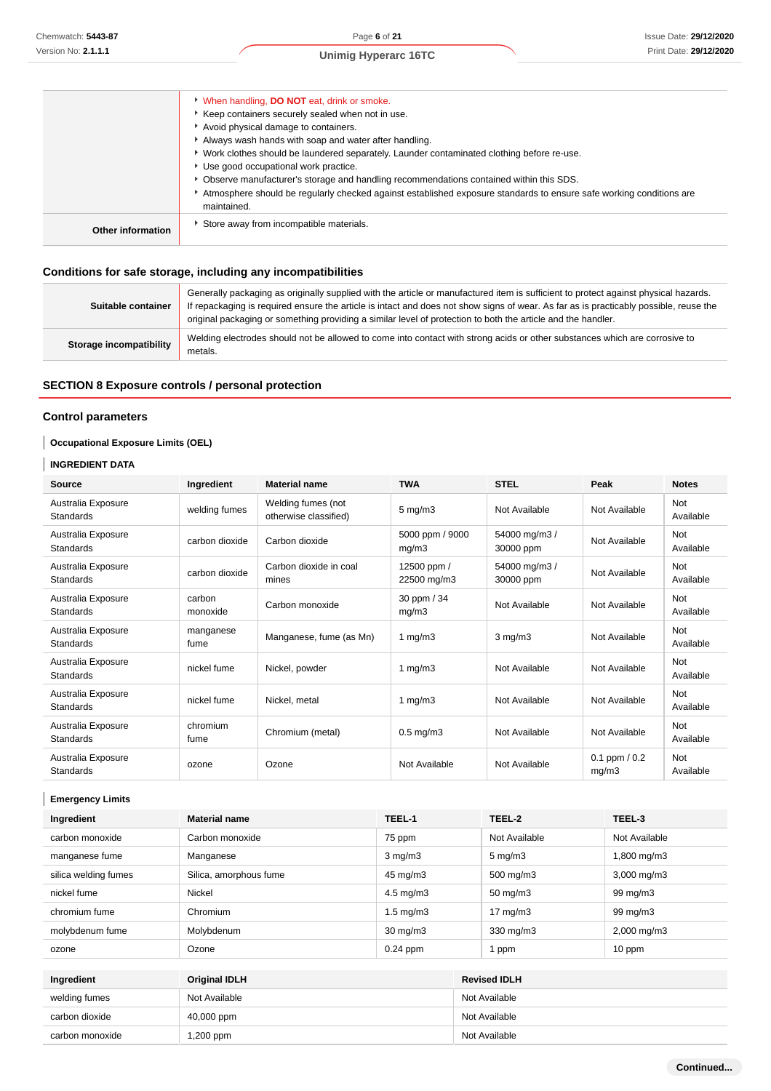|                   | When handling, <b>DO NOT</b> eat, drink or smoke.                                                                                  |
|-------------------|------------------------------------------------------------------------------------------------------------------------------------|
|                   | Keep containers securely sealed when not in use.                                                                                   |
|                   | Avoid physical damage to containers.                                                                                               |
|                   | Always wash hands with soap and water after handling.                                                                              |
|                   | ▶ Work clothes should be laundered separately. Launder contaminated clothing before re-use.                                        |
|                   | Use good occupational work practice.                                                                                               |
|                   | ▶ Observe manufacturer's storage and handling recommendations contained within this SDS.                                           |
|                   | Atmosphere should be requiarly checked against established exposure standards to ensure safe working conditions are<br>maintained. |
|                   |                                                                                                                                    |
| Other information | Store away from incompatible materials.                                                                                            |
|                   |                                                                                                                                    |

# **Conditions for safe storage, including any incompatibilities**

| Suitable container      | Generally packaging as originally supplied with the article or manufactured item is sufficient to protect against physical hazards.<br>If repackaging is required ensure the article is intact and does not show signs of wear. As far as is practicably possible, reuse the<br>original packaging or something providing a similar level of protection to both the article and the handler. |
|-------------------------|----------------------------------------------------------------------------------------------------------------------------------------------------------------------------------------------------------------------------------------------------------------------------------------------------------------------------------------------------------------------------------------------|
| Storage incompatibility | Welding electrodes should not be allowed to come into contact with strong acids or other substances which are corrosive to<br>metals.                                                                                                                                                                                                                                                        |

# **SECTION 8 Exposure controls / personal protection**

## **Control parameters**

## **Occupational Exposure Limits (OEL)**

## **INGREDIENT DATA**

| <b>Source</b>                          | Ingredient         | <b>Material name</b>                        | <b>TWA</b>                 | <b>STEL</b>                | Peak                       | <b>Notes</b>            |
|----------------------------------------|--------------------|---------------------------------------------|----------------------------|----------------------------|----------------------------|-------------------------|
| Australia Exposure<br><b>Standards</b> | welding fumes      | Welding fumes (not<br>otherwise classified) | $5 \text{ mg/m}$ 3         | Not Available              | Not Available              | Not<br>Available        |
| Australia Exposure<br><b>Standards</b> | carbon dioxide     | Carbon dioxide                              | 5000 ppm / 9000<br>mq/m3   | 54000 mg/m3 /<br>30000 ppm | Not Available              | Not<br>Available        |
| Australia Exposure<br><b>Standards</b> | carbon dioxide     | Carbon dioxide in coal<br>mines             | 12500 ppm /<br>22500 mg/m3 | 54000 mg/m3 /<br>30000 ppm | Not Available              | <b>Not</b><br>Available |
| Australia Exposure<br><b>Standards</b> | carbon<br>monoxide | Carbon monoxide                             | 30 ppm / 34<br>mg/m3       | Not Available              | Not Available              | Not<br>Available        |
| Australia Exposure<br><b>Standards</b> | manganese<br>fume  | Manganese, fume (as Mn)                     | 1 $mg/m3$                  | $3$ mg/m $3$               | Not Available              | Not<br>Available        |
| Australia Exposure<br><b>Standards</b> | nickel fume        | Nickel, powder                              | 1 $mg/m3$                  | Not Available              | Not Available              | Not<br>Available        |
| Australia Exposure<br><b>Standards</b> | nickel fume        | Nickel, metal                               | 1 $mg/m3$                  | Not Available              | Not Available              | <b>Not</b><br>Available |
| Australia Exposure<br><b>Standards</b> | chromium<br>fume   | Chromium (metal)                            | $0.5$ mg/m $3$             | Not Available              | Not Available              | Not<br>Available        |
| Australia Exposure<br><b>Standards</b> | ozone              | Ozone                                       | Not Available              | Not Available              | $0.1$ ppm $/ 0.2$<br>mg/m3 | Not<br>Available        |

**Emergency Limits**

| Ingredient           | TEEL-1<br><b>Material name</b>  |                      |               | TEEL-2                  | TEEL-3        |  |
|----------------------|---------------------------------|----------------------|---------------|-------------------------|---------------|--|
| carbon monoxide      | Carbon monoxide                 | 75 ppm               | Not Available |                         | Not Available |  |
| manganese fume       | Manganese                       | $3 \text{ mg/m}$     |               | $5 \text{ mg/m}$ 3      | 1,800 mg/m3   |  |
| silica welding fumes | Silica, amorphous fume          | 45 mg/m3             |               | 500 mg/m3               | 3,000 mg/m3   |  |
| nickel fume          | Nickel                          | $4.5 \text{ mg/m}$ 3 |               | $50 \text{ mg/m}$ 3     | 99 mg/m3      |  |
| chromium fume        | Chromium                        | $1.5 \text{ mg/m}$ 3 |               | 17 $mg/m3$              | 99 mg/m3      |  |
| molybdenum fume      | Molybdenum<br>$30 \text{ mg/m}$ |                      | 330 mg/m3     | $2,000 \,\mathrm{mg/m}$ |               |  |
| ozone                | Ozone<br>$0.24$ ppm             |                      |               | 1 ppm                   | 10 ppm        |  |
|                      |                                 |                      |               |                         |               |  |
| Ingredient           | <b>Original IDLH</b>            |                      |               | <b>Revised IDLH</b>     |               |  |
| welding fumes        | Not Available                   |                      |               | Not Available           |               |  |
| carbon dioxide       | 40,000 ppm                      |                      |               | Not Available           |               |  |
| carbon monoxide      | 1,200 ppm                       |                      |               | Not Available           |               |  |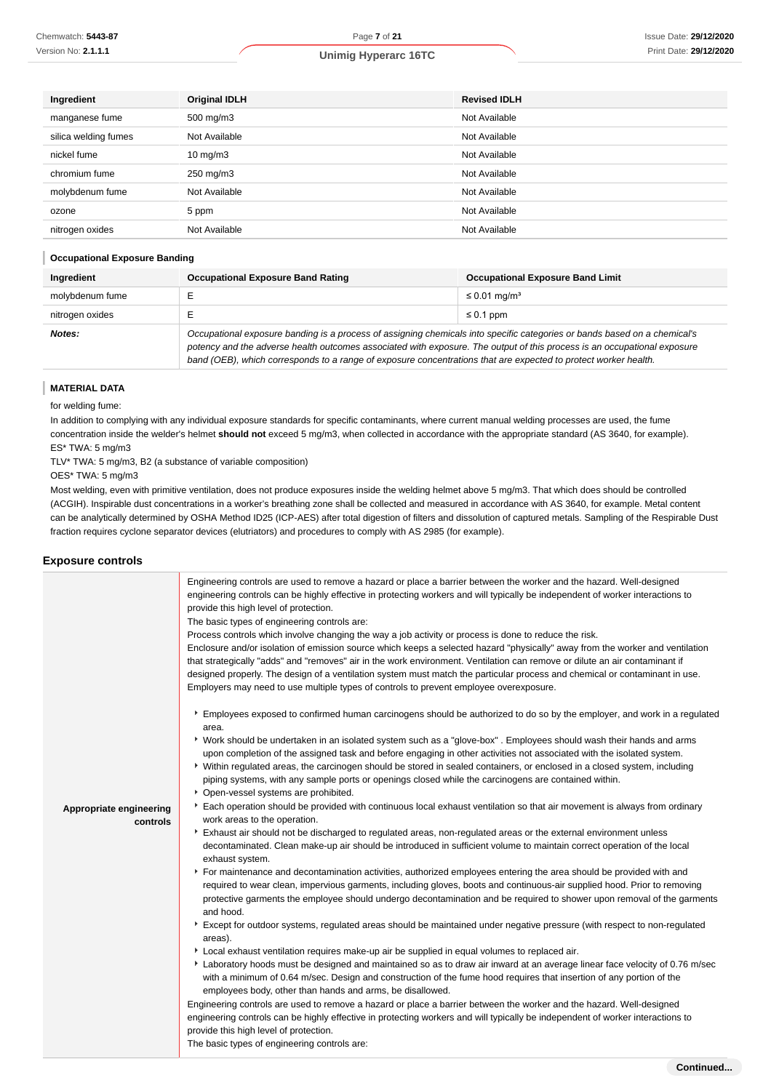|  | <b>Unimig Hyperarc 16TC</b> |  |
|--|-----------------------------|--|
|--|-----------------------------|--|

| Ingredient           | <b>Original IDLH</b> | <b>Revised IDLH</b> |
|----------------------|----------------------|---------------------|
| manganese fume       | 500 mg/m3            | Not Available       |
| silica welding fumes | Not Available        | Not Available       |
| nickel fume          | $10 \text{ mg/m}$    | Not Available       |
| chromium fume        | 250 mg/m3            | Not Available       |
| molybdenum fume      | Not Available        | Not Available       |
| ozone                | 5 ppm                | Not Available       |
| nitrogen oxides      | Not Available        | Not Available       |

#### **Occupational Exposure Banding**

| Ingredient      | <b>Occupational Exposure Band Rating</b><br><b>Occupational Exposure Band Limit</b>                                                                                                                                                                                                                                                                                      |                               |  |
|-----------------|--------------------------------------------------------------------------------------------------------------------------------------------------------------------------------------------------------------------------------------------------------------------------------------------------------------------------------------------------------------------------|-------------------------------|--|
| molybdenum fume |                                                                                                                                                                                                                                                                                                                                                                          | $\leq$ 0.01 mg/m <sup>3</sup> |  |
| nitrogen oxides |                                                                                                                                                                                                                                                                                                                                                                          | $\leq 0.1$ ppm                |  |
| Notes:          | Occupational exposure banding is a process of assigning chemicals into specific categories or bands based on a chemical's<br>potency and the adverse health outcomes associated with exposure. The output of this process is an occupational exposure<br>band (OEB), which corresponds to a range of exposure concentrations that are expected to protect worker health. |                               |  |

**MATERIAL DATA**

ı

for welding fume:

In addition to complying with any individual exposure standards for specific contaminants, where current manual welding processes are used, the fume concentration inside the welder's helmet **should not** exceed 5 mg/m3, when collected in accordance with the appropriate standard (AS 3640, for example). ES\* TWA: 5 mg/m3

TLV\* TWA: 5 mg/m3, B2 (a substance of variable composition)

OES\* TWA: 5 mg/m3

Most welding, even with primitive ventilation, does not produce exposures inside the welding helmet above 5 mg/m3. That which does should be controlled (ACGIH). Inspirable dust concentrations in a worker's breathing zone shall be collected and measured in accordance with AS 3640, for example. Metal content can be analytically determined by OSHA Method ID25 (ICP-AES) after total digestion of filters and dissolution of captured metals. Sampling of the Respirable Dust fraction requires cyclone separator devices (elutriators) and procedures to comply with AS 2985 (for example).

#### **Exposure controls**

|                         | Engineering controls are used to remove a hazard or place a barrier between the worker and the hazard. Well-designed<br>engineering controls can be highly effective in protecting workers and will typically be independent of worker interactions to<br>provide this high level of protection.<br>The basic types of engineering controls are:<br>Process controls which involve changing the way a job activity or process is done to reduce the risk.<br>Enclosure and/or isolation of emission source which keeps a selected hazard "physically" away from the worker and ventilation<br>that strategically "adds" and "removes" air in the work environment. Ventilation can remove or dilute an air contaminant if<br>designed properly. The design of a ventilation system must match the particular process and chemical or contaminant in use.<br>Employers may need to use multiple types of controls to prevent employee overexposure. |
|-------------------------|----------------------------------------------------------------------------------------------------------------------------------------------------------------------------------------------------------------------------------------------------------------------------------------------------------------------------------------------------------------------------------------------------------------------------------------------------------------------------------------------------------------------------------------------------------------------------------------------------------------------------------------------------------------------------------------------------------------------------------------------------------------------------------------------------------------------------------------------------------------------------------------------------------------------------------------------------|
|                         | Employees exposed to confirmed human carcinogens should be authorized to do so by the employer, and work in a regulated<br>area.                                                                                                                                                                                                                                                                                                                                                                                                                                                                                                                                                                                                                                                                                                                                                                                                                   |
|                         | ▶ Work should be undertaken in an isolated system such as a "glove-box". Employees should wash their hands and arms<br>upon completion of the assigned task and before engaging in other activities not associated with the isolated system.<br>▶ Within regulated areas, the carcinogen should be stored in sealed containers, or enclosed in a closed system, including<br>piping systems, with any sample ports or openings closed while the carcinogens are contained within.<br>• Open-vessel systems are prohibited.                                                                                                                                                                                                                                                                                                                                                                                                                         |
| Appropriate engineering | Each operation should be provided with continuous local exhaust ventilation so that air movement is always from ordinary                                                                                                                                                                                                                                                                                                                                                                                                                                                                                                                                                                                                                                                                                                                                                                                                                           |
| controls                | work areas to the operation.                                                                                                                                                                                                                                                                                                                                                                                                                                                                                                                                                                                                                                                                                                                                                                                                                                                                                                                       |
|                         | Exhaust air should not be discharged to regulated areas, non-regulated areas or the external environment unless                                                                                                                                                                                                                                                                                                                                                                                                                                                                                                                                                                                                                                                                                                                                                                                                                                    |
|                         | decontaminated. Clean make-up air should be introduced in sufficient volume to maintain correct operation of the local<br>exhaust system.                                                                                                                                                                                                                                                                                                                                                                                                                                                                                                                                                                                                                                                                                                                                                                                                          |
|                         | For maintenance and decontamination activities, authorized employees entering the area should be provided with and                                                                                                                                                                                                                                                                                                                                                                                                                                                                                                                                                                                                                                                                                                                                                                                                                                 |
|                         | required to wear clean, impervious garments, including gloves, boots and continuous-air supplied hood. Prior to removing<br>protective garments the employee should undergo decontamination and be required to shower upon removal of the garments<br>and hood.                                                                                                                                                                                                                                                                                                                                                                                                                                                                                                                                                                                                                                                                                    |
|                         | Except for outdoor systems, regulated areas should be maintained under negative pressure (with respect to non-regulated<br>areas).                                                                                                                                                                                                                                                                                                                                                                                                                                                                                                                                                                                                                                                                                                                                                                                                                 |
|                         | ▶ Local exhaust ventilation requires make-up air be supplied in equal volumes to replaced air.                                                                                                                                                                                                                                                                                                                                                                                                                                                                                                                                                                                                                                                                                                                                                                                                                                                     |
|                         | Laboratory hoods must be designed and maintained so as to draw air inward at an average linear face velocity of 0.76 m/sec<br>with a minimum of 0.64 m/sec. Design and construction of the fume hood requires that insertion of any portion of the<br>employees body, other than hands and arms, be disallowed.                                                                                                                                                                                                                                                                                                                                                                                                                                                                                                                                                                                                                                    |
|                         | Engineering controls are used to remove a hazard or place a barrier between the worker and the hazard. Well-designed                                                                                                                                                                                                                                                                                                                                                                                                                                                                                                                                                                                                                                                                                                                                                                                                                               |
|                         | engineering controls can be highly effective in protecting workers and will typically be independent of worker interactions to                                                                                                                                                                                                                                                                                                                                                                                                                                                                                                                                                                                                                                                                                                                                                                                                                     |
|                         | provide this high level of protection.                                                                                                                                                                                                                                                                                                                                                                                                                                                                                                                                                                                                                                                                                                                                                                                                                                                                                                             |
|                         | The basic types of engineering controls are:                                                                                                                                                                                                                                                                                                                                                                                                                                                                                                                                                                                                                                                                                                                                                                                                                                                                                                       |
|                         |                                                                                                                                                                                                                                                                                                                                                                                                                                                                                                                                                                                                                                                                                                                                                                                                                                                                                                                                                    |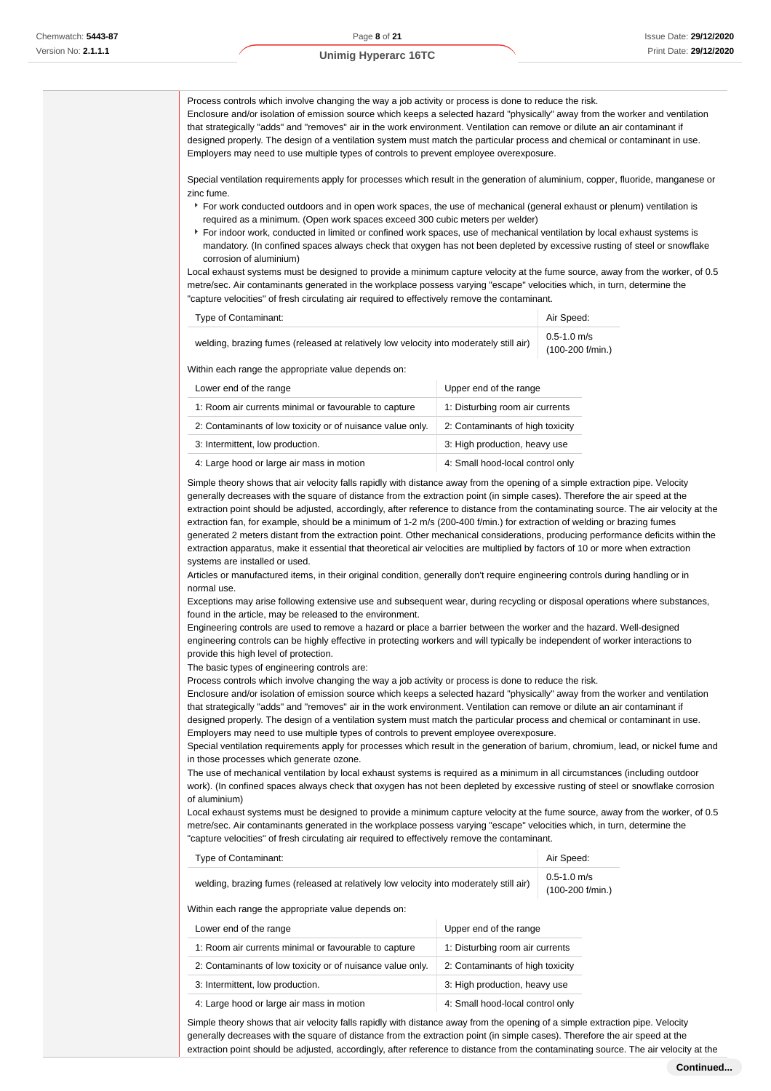Process controls which involve changing the way a job activity or process is done to reduce the risk. Enclosure and/or isolation of emission source which keeps a selected hazard "physically" away from the worker and ventilation that strategically "adds" and "removes" air in the work environment. Ventilation can remove or dilute an air contaminant if designed properly. The design of a ventilation system must match the particular process and chemical or contaminant in use. Employers may need to use multiple types of controls to prevent employee overexposure.

Special ventilation requirements apply for processes which result in the generation of aluminium, copper, fluoride, manganese or zinc fume.

- For work conducted outdoors and in open work spaces, the use of mechanical (general exhaust or plenum) ventilation is required as a minimum. (Open work spaces exceed 300 cubic meters per welder)
- For indoor work, conducted in limited or confined work spaces, use of mechanical ventilation by local exhaust systems is mandatory. (In confined spaces always check that oxygen has not been depleted by excessive rusting of steel or snowflake corrosion of aluminium)

Local exhaust systems must be designed to provide a minimum capture velocity at the fume source, away from the worker, of 0.5 metre/sec. Air contaminants generated in the workplace possess varying "escape" velocities which, in turn, determine the "capture velocities" of fresh circulating air required to effectively remove the contaminant.

| Type of Contaminant:                                                                   | Air Speed:                         |
|----------------------------------------------------------------------------------------|------------------------------------|
| welding, brazing fumes (released at relatively low velocity into moderately still air) | $0.5$ -1.0 m/s<br>(100-200 f/min.) |

Within each range the appropriate value depends on:

| Lower end of the range                                     | Upper end of the range           |
|------------------------------------------------------------|----------------------------------|
| 1: Room air currents minimal or favourable to capture      | 1: Disturbing room air currents  |
| 2: Contaminants of low toxicity or of nuisance value only. | 2: Contaminants of high toxicity |
| 3: Intermittent, low production.                           | 3: High production, heavy use    |
| 4: Large hood or large air mass in motion                  | 4: Small hood-local control only |

Simple theory shows that air velocity falls rapidly with distance away from the opening of a simple extraction pipe. Velocity generally decreases with the square of distance from the extraction point (in simple cases). Therefore the air speed at the extraction point should be adjusted, accordingly, after reference to distance from the contaminating source. The air velocity at the extraction fan, for example, should be a minimum of 1-2 m/s (200-400 f/min.) for extraction of welding or brazing fumes generated 2 meters distant from the extraction point. Other mechanical considerations, producing performance deficits within the extraction apparatus, make it essential that theoretical air velocities are multiplied by factors of 10 or more when extraction systems are installed or used.

Articles or manufactured items, in their original condition, generally don't require engineering controls during handling or in normal use.

Exceptions may arise following extensive use and subsequent wear, during recycling or disposal operations where substances, found in the article, may be released to the environment.

Engineering controls are used to remove a hazard or place a barrier between the worker and the hazard. Well-designed engineering controls can be highly effective in protecting workers and will typically be independent of worker interactions to provide this high level of protection.

The basic types of engineering controls are:

Process controls which involve changing the way a job activity or process is done to reduce the risk.

Enclosure and/or isolation of emission source which keeps a selected hazard "physically" away from the worker and ventilation that strategically "adds" and "removes" air in the work environment. Ventilation can remove or dilute an air contaminant if designed properly. The design of a ventilation system must match the particular process and chemical or contaminant in use.

Employers may need to use multiple types of controls to prevent employee overexposure. Special ventilation requirements apply for processes which result in the generation of barium, chromium, lead, or nickel fume and

in those processes which generate ozone. The use of mechanical ventilation by local exhaust systems is required as a minimum in all circumstances (including outdoor work). (In confined spaces always check that oxygen has not been depleted by excessive rusting of steel or snowflake corrosion

of aluminium) Local exhaust systems must be designed to provide a minimum capture velocity at the fume source, away from the worker, of 0.5 metre/sec. Air contaminants generated in the workplace possess varying "escape" velocities which, in turn, determine the "capture velocities" of fresh circulating air required to effectively remove the contaminant.

| Type of Contaminant:                                                                   | Air Speed:                         |
|----------------------------------------------------------------------------------------|------------------------------------|
| welding, brazing fumes (released at relatively low velocity into moderately still air) | $0.5$ -1.0 m/s<br>(100-200 f/min.) |

Within each range the appropriate value depends on:

| Lower end of the range                                     | Upper end of the range           |
|------------------------------------------------------------|----------------------------------|
| 1: Room air currents minimal or favourable to capture      | 1: Disturbing room air currents  |
| 2: Contaminants of low toxicity or of nuisance value only. | 2: Contaminants of high toxicity |
| 3: Intermittent, low production.                           | 3: High production, heavy use    |
| 4: Large hood or large air mass in motion                  | 4: Small hood-local control only |

Simple theory shows that air velocity falls rapidly with distance away from the opening of a simple extraction pipe. Velocity generally decreases with the square of distance from the extraction point (in simple cases). Therefore the air speed at the extraction point should be adjusted, accordingly, after reference to distance from the contaminating source. The air velocity at the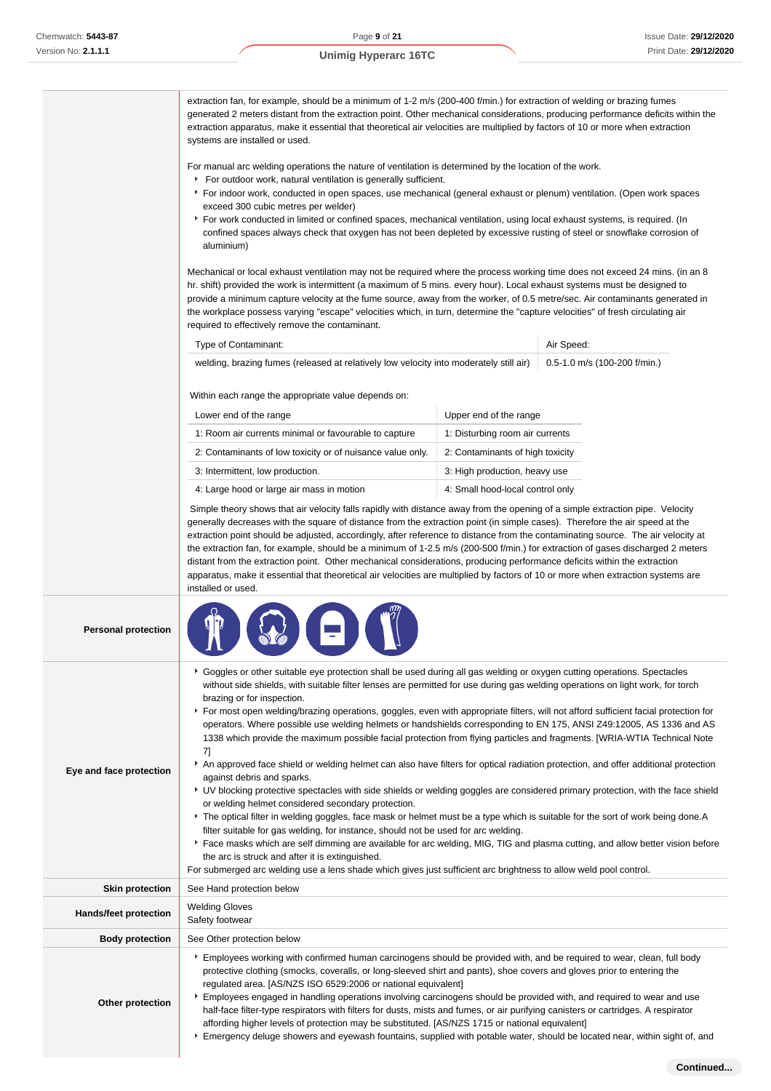# extraction fan, for example, should be a minimum of 1-2 m/s (200-400 f/min.) for extraction of welding or brazing fumes generated 2 meters distant from the extraction point. Other mechanical considerations, producing performance deficits within the extraction apparatus, make it essential that theoretical air velocities are multiplied by factors of 10 or more when extraction systems are installed or used. For manual arc welding operations the nature of ventilation is determined by the location of the work. **For outdoor work, natural ventilation is generally sufficient.** For indoor work, conducted in open spaces, use mechanical (general exhaust or plenum) ventilation. (Open work spaces exceed 300 cubic metres per welder) For work conducted in limited or confined spaces, mechanical ventilation, using local exhaust systems, is required. (In confined spaces always check that oxygen has not been depleted by excessive rusting of steel or snowflake corrosion of aluminium) Mechanical or local exhaust ventilation may not be required where the process working time does not exceed 24 mins. (in an 8 hr. shift) provided the work is intermittent (a maximum of 5 mins. every hour). Local exhaust systems must be designed to provide a minimum capture velocity at the fume source, away from the worker, of 0.5 metre/sec. Air contaminants generated in the workplace possess varying "escape" velocities which, in turn, determine the "capture velocities" of fresh circulating air required to effectively remove the contaminant. Type of Contaminant: Air Speed: Air Speed: Air Speed: Air Speed: Air Speed: Air Speed: Air Speed: Air Speed: Air Speed: Air Speed: Air Speed: Air Speed: Air Speed: Air Speed: Air Speed: Air Speed: Air Speed: Air Speed: Air welding, brazing fumes (released at relatively low velocity into moderately still air) 0.5-1.0 m/s (100-200 f/min.) Within each range the appropriate value depends on: Lower end of the range Lower end of the range 1: Room air currents minimal or favourable to capture 1: Disturbing room air currents 2: Contaminants of low toxicity or of nuisance value only. 2: Contaminants of high toxicity 3: Intermittent, low production. The same state of  $\vert$  3: High production, heavy use 4: Large hood or large air mass in motion 4: Small hood-local control only Simple theory shows that air velocity falls rapidly with distance away from the opening of a simple extraction pipe. Velocity generally decreases with the square of distance from the extraction point (in simple cases). Therefore the air speed at the extraction point should be adjusted, accordingly, after reference to distance from the contaminating source. The air velocity at the extraction fan, for example, should be a minimum of 1-2.5 m/s (200-500 f/min.) for extraction of gases discharged 2 meters distant from the extraction point. Other mechanical considerations, producing performance deficits within the extraction apparatus, make it essential that theoretical air velocities are multiplied by factors of 10 or more when extraction systems are installed or used. **Personal protection Eye and face protection** Goggles or other suitable eye protection shall be used during all gas welding or oxygen cutting operations. Spectacles without side shields, with suitable filter lenses are permitted for use during gas welding operations on light work, for torch brazing or for inspection. For most open welding/brazing operations, goggles, even with appropriate filters, will not afford sufficient facial protection for operators. Where possible use welding helmets or handshields corresponding to EN 175, ANSI Z49:12005, AS 1336 and AS 1338 which provide the maximum possible facial protection from flying particles and fragments. [WRIA-WTIA Technical Note 7] **A** An approved face shield or welding helmet can also have filters for optical radiation protection, and offer additional protection against debris and sparks. UV blocking protective spectacles with side shields or welding goggles are considered primary protection, with the face shield or welding helmet considered secondary protection. The optical filter in welding goggles, face mask or helmet must be a type which is suitable for the sort of work being done.A filter suitable for gas welding, for instance, should not be used for arc welding. ▶ Face masks which are self dimming are available for arc welding, MIG, TIG and plasma cutting, and allow better vision before the arc is struck and after it is extinguished. For submerged arc welding use a lens shade which gives just sufficient arc brightness to allow weld pool control. **Unimig Hyperarc 16TC**

**Skin protection** See Hand protection below **Hands/feet protection** Welding Gloves Safety footwear **Body protection** See Other protection below **Other protection** Employees working with confirmed human carcinogens should be provided with, and be required to wear, clean, full body protective clothing (smocks, coveralls, or long-sleeved shirt and pants), shoe covers and gloves prior to entering the regulated area. [AS/NZS ISO 6529:2006 or national equivalent] Employees engaged in handling operations involving carcinogens should be provided with, and required to wear and use half-face filter-type respirators with filters for dusts, mists and fumes, or air purifying canisters or cartridges. A respirator affording higher levels of protection may be substituted. [AS/NZS 1715 or national equivalent] Emergency deluge showers and eyewash fountains, supplied with potable water, should be located near, within sight of, and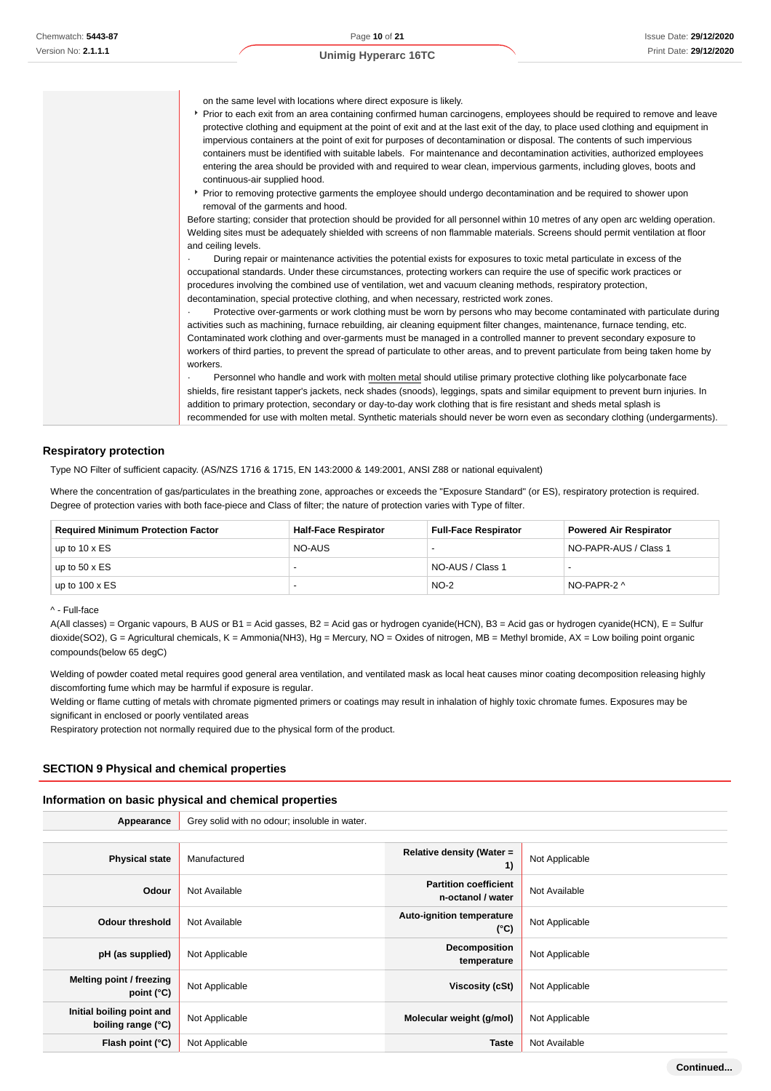on the same level with locations where direct exposure is likely.

- Prior to each exit from an area containing confirmed human carcinogens, employees should be required to remove and leave protective clothing and equipment at the point of exit and at the last exit of the day, to place used clothing and equipment in impervious containers at the point of exit for purposes of decontamination or disposal. The contents of such impervious containers must be identified with suitable labels. For maintenance and decontamination activities, authorized employees entering the area should be provided with and required to wear clean, impervious garments, including gloves, boots and continuous-air supplied hood.
- Prior to removing protective garments the employee should undergo decontamination and be required to shower upon removal of the garments and hood.

Before starting; consider that protection should be provided for all personnel within 10 metres of any open arc welding operation. Welding sites must be adequately shielded with screens of non flammable materials. Screens should permit ventilation at floor and ceiling levels.

· During repair or maintenance activities the potential exists for exposures to toxic metal particulate in excess of the occupational standards. Under these circumstances, protecting workers can require the use of specific work practices or procedures involving the combined use of ventilation, wet and vacuum cleaning methods, respiratory protection, decontamination, special protective clothing, and when necessary, restricted work zones.

Protective over-garments or work clothing must be worn by persons who may become contaminated with particulate during activities such as machining, furnace rebuilding, air cleaning equipment filter changes, maintenance, furnace tending, etc. Contaminated work clothing and over-garments must be managed in a controlled manner to prevent secondary exposure to workers of third parties, to prevent the spread of particulate to other areas, and to prevent particulate from being taken home by workers.

Personnel who handle and work with molten metal should utilise primary protective clothing like polycarbonate face shields, fire resistant tapper's jackets, neck shades (snoods), leggings, spats and similar equipment to prevent burn injuries. In addition to primary protection, secondary or day-to-day work clothing that is fire resistant and sheds metal splash is recommended for use with molten metal. Synthetic materials should never be worn even as secondary clothing (undergarments).

#### **Respiratory protection**

Type NO Filter of sufficient capacity. (AS/NZS 1716 & 1715, EN 143:2000 & 149:2001, ANSI Z88 or national equivalent)

Where the concentration of gas/particulates in the breathing zone, approaches or exceeds the "Exposure Standard" (or ES), respiratory protection is required. Degree of protection varies with both face-piece and Class of filter; the nature of protection varies with Type of filter.

| <b>Required Minimum Protection Factor</b> | <b>Half-Face Respirator</b> | <b>Full-Face Respirator</b> | <b>Powered Air Respirator</b> |
|-------------------------------------------|-----------------------------|-----------------------------|-------------------------------|
| up to $10 \times ES$                      | NO-AUS                      |                             | NO-PAPR-AUS / Class 1         |
| up to $50 \times ES$                      | -                           | NO-AUS / Class 1            |                               |
| up to $100 \times ES$                     |                             | $NO-2$                      | NO-PAPR-2 ^                   |

#### ^ - Full-face

A(All classes) = Organic vapours, B AUS or B1 = Acid gasses, B2 = Acid gas or hydrogen cyanide(HCN), B3 = Acid gas or hydrogen cyanide(HCN), E = Sulfur dioxide(SO2), G = Agricultural chemicals, K = Ammonia(NH3), Hg = Mercury, NO = Oxides of nitrogen, MB = Methyl bromide, AX = Low boiling point organic compounds(below 65 degC)

Welding of powder coated metal requires good general area ventilation, and ventilated mask as local heat causes minor coating decomposition releasing highly discomforting fume which may be harmful if exposure is regular.

Welding or flame cutting of metals with chromate pigmented primers or coatings may result in inhalation of highly toxic chromate fumes. Exposures may be significant in enclosed or poorly ventilated areas

Respiratory protection not normally required due to the physical form of the product.

#### **SECTION 9 Physical and chemical properties**

#### **Information on basic physical and chemical properties**

| Appearance                                      | Grey solid with no odour; insoluble in water. |                                                   |                |
|-------------------------------------------------|-----------------------------------------------|---------------------------------------------------|----------------|
|                                                 |                                               |                                                   |                |
| <b>Physical state</b>                           | Manufactured                                  | Relative density (Water =<br>1)                   | Not Applicable |
| Odour                                           | Not Available                                 | <b>Partition coefficient</b><br>n-octanol / water | Not Available  |
| <b>Odour threshold</b>                          | Not Available                                 | Auto-ignition temperature<br>$(^{\circ}C)$        | Not Applicable |
| pH (as supplied)                                | Not Applicable                                | Decomposition<br>temperature                      | Not Applicable |
| Melting point / freezing<br>point $(^{\circ}C)$ | Not Applicable                                | Viscosity (cSt)                                   | Not Applicable |
| Initial boiling point and<br>boiling range (°C) | Not Applicable                                | Molecular weight (g/mol)                          | Not Applicable |
| Flash point (°C)                                | Not Applicable                                | <b>Taste</b>                                      | Not Available  |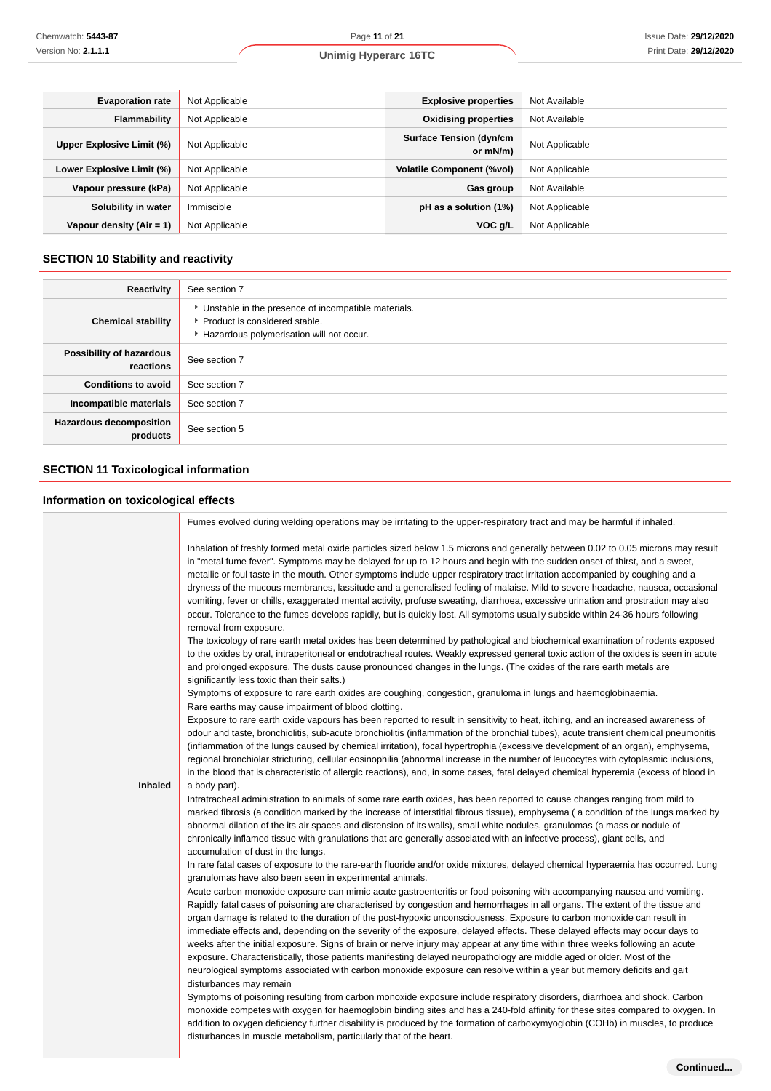| <b>Evaporation rate</b>    | Not Applicable | <b>Explosive properties</b>                | Not Available  |
|----------------------------|----------------|--------------------------------------------|----------------|
| Flammability               | Not Applicable | <b>Oxidising properties</b>                | Not Available  |
| Upper Explosive Limit (%)  | Not Applicable | <b>Surface Tension (dyn/cm</b><br>or mN/m) | Not Applicable |
| Lower Explosive Limit (%)  | Not Applicable | <b>Volatile Component (%vol)</b>           | Not Applicable |
| Vapour pressure (kPa)      | Not Applicable | Gas group                                  | Not Available  |
| Solubility in water        | Immiscible     | pH as a solution (1%)                      | Not Applicable |
| Vapour density $(Air = 1)$ | Not Applicable | VOC g/L                                    | Not Applicable |

# **SECTION 10 Stability and reactivity**

| Reactivity                                 | See section 7                                                                                                                        |
|--------------------------------------------|--------------------------------------------------------------------------------------------------------------------------------------|
| <b>Chemical stability</b>                  | • Unstable in the presence of incompatible materials.<br>▶ Product is considered stable.<br>Hazardous polymerisation will not occur. |
| Possibility of hazardous<br>reactions      | See section 7                                                                                                                        |
| <b>Conditions to avoid</b>                 | See section 7                                                                                                                        |
| Incompatible materials                     | See section 7                                                                                                                        |
| <b>Hazardous decomposition</b><br>products | See section 5                                                                                                                        |

# **SECTION 11 Toxicological information**

# **Information on toxicological effects**

|         | Fumes evolved during welding operations may be irritating to the upper-respiratory tract and may be harmful if inhaled.                                                                                                                                                                                                                                                                                                                                                                                                                                                                                                                                                                                                                                                                                                                                                                                                                                                                                                                                                                                                                                                                                                                                                                                                                                                                              |
|---------|------------------------------------------------------------------------------------------------------------------------------------------------------------------------------------------------------------------------------------------------------------------------------------------------------------------------------------------------------------------------------------------------------------------------------------------------------------------------------------------------------------------------------------------------------------------------------------------------------------------------------------------------------------------------------------------------------------------------------------------------------------------------------------------------------------------------------------------------------------------------------------------------------------------------------------------------------------------------------------------------------------------------------------------------------------------------------------------------------------------------------------------------------------------------------------------------------------------------------------------------------------------------------------------------------------------------------------------------------------------------------------------------------|
|         | Inhalation of freshly formed metal oxide particles sized below 1.5 microns and generally between 0.02 to 0.05 microns may result<br>in "metal fume fever". Symptoms may be delayed for up to 12 hours and begin with the sudden onset of thirst, and a sweet,<br>metallic or foul taste in the mouth. Other symptoms include upper respiratory tract irritation accompanied by coughing and a<br>dryness of the mucous membranes, lassitude and a generalised feeling of malaise. Mild to severe headache, nausea, occasional<br>vomiting, fever or chills, exaggerated mental activity, profuse sweating, diarrhoea, excessive urination and prostration may also<br>occur. Tolerance to the fumes develops rapidly, but is quickly lost. All symptoms usually subside within 24-36 hours following<br>removal from exposure.                                                                                                                                                                                                                                                                                                                                                                                                                                                                                                                                                                       |
|         | The toxicology of rare earth metal oxides has been determined by pathological and biochemical examination of rodents exposed<br>to the oxides by oral, intraperitoneal or endotracheal routes. Weakly expressed general toxic action of the oxides is seen in acute<br>and prolonged exposure. The dusts cause pronounced changes in the lungs. (The oxides of the rare earth metals are<br>significantly less toxic than their salts.)                                                                                                                                                                                                                                                                                                                                                                                                                                                                                                                                                                                                                                                                                                                                                                                                                                                                                                                                                              |
|         | Symptoms of exposure to rare earth oxides are coughing, congestion, granuloma in lungs and haemoglobinaemia.<br>Rare earths may cause impairment of blood clotting.                                                                                                                                                                                                                                                                                                                                                                                                                                                                                                                                                                                                                                                                                                                                                                                                                                                                                                                                                                                                                                                                                                                                                                                                                                  |
|         | Exposure to rare earth oxide vapours has been reported to result in sensitivity to heat, itching, and an increased awareness of<br>odour and taste, bronchiolitis, sub-acute bronchiolitis (inflammation of the bronchial tubes), acute transient chemical pneumonitis<br>(inflammation of the lungs caused by chemical irritation), focal hypertrophia (excessive development of an organ), emphysema,<br>regional bronchiolar stricturing, cellular eosinophilia (abnormal increase in the number of leucocytes with cytoplasmic inclusions,<br>in the blood that is characteristic of allergic reactions), and, in some cases, fatal delayed chemical hyperemia (excess of blood in                                                                                                                                                                                                                                                                                                                                                                                                                                                                                                                                                                                                                                                                                                               |
| Inhaled | a body part).                                                                                                                                                                                                                                                                                                                                                                                                                                                                                                                                                                                                                                                                                                                                                                                                                                                                                                                                                                                                                                                                                                                                                                                                                                                                                                                                                                                        |
|         | Intratracheal administration to animals of some rare earth oxides, has been reported to cause changes ranging from mild to<br>marked fibrosis (a condition marked by the increase of interstitial fibrous tissue), emphysema (a condition of the lungs marked by<br>abnormal dilation of the its air spaces and distension of its walls), small white nodules, granulomas (a mass or nodule of<br>chronically inflamed tissue with granulations that are generally associated with an infective process), giant cells, and<br>accumulation of dust in the lungs.                                                                                                                                                                                                                                                                                                                                                                                                                                                                                                                                                                                                                                                                                                                                                                                                                                     |
|         | In rare fatal cases of exposure to the rare-earth fluoride and/or oxide mixtures, delayed chemical hyperaemia has occurred. Lung<br>granulomas have also been seen in experimental animals.                                                                                                                                                                                                                                                                                                                                                                                                                                                                                                                                                                                                                                                                                                                                                                                                                                                                                                                                                                                                                                                                                                                                                                                                          |
|         | Acute carbon monoxide exposure can mimic acute gastroenteritis or food poisoning with accompanying nausea and vomiting.<br>Rapidly fatal cases of poisoning are characterised by congestion and hemorrhages in all organs. The extent of the tissue and<br>organ damage is related to the duration of the post-hypoxic unconsciousness. Exposure to carbon monoxide can result in<br>immediate effects and, depending on the severity of the exposure, delayed effects. These delayed effects may occur days to<br>weeks after the initial exposure. Signs of brain or nerve injury may appear at any time within three weeks following an acute<br>exposure. Characteristically, those patients manifesting delayed neuropathology are middle aged or older. Most of the<br>neurological symptoms associated with carbon monoxide exposure can resolve within a year but memory deficits and gait<br>disturbances may remain<br>Symptoms of poisoning resulting from carbon monoxide exposure include respiratory disorders, diarrhoea and shock. Carbon<br>monoxide competes with oxygen for haemoglobin binding sites and has a 240-fold affinity for these sites compared to oxygen. In<br>addition to oxygen deficiency further disability is produced by the formation of carboxymyoglobin (COHb) in muscles, to produce<br>disturbances in muscle metabolism, particularly that of the heart. |
|         |                                                                                                                                                                                                                                                                                                                                                                                                                                                                                                                                                                                                                                                                                                                                                                                                                                                                                                                                                                                                                                                                                                                                                                                                                                                                                                                                                                                                      |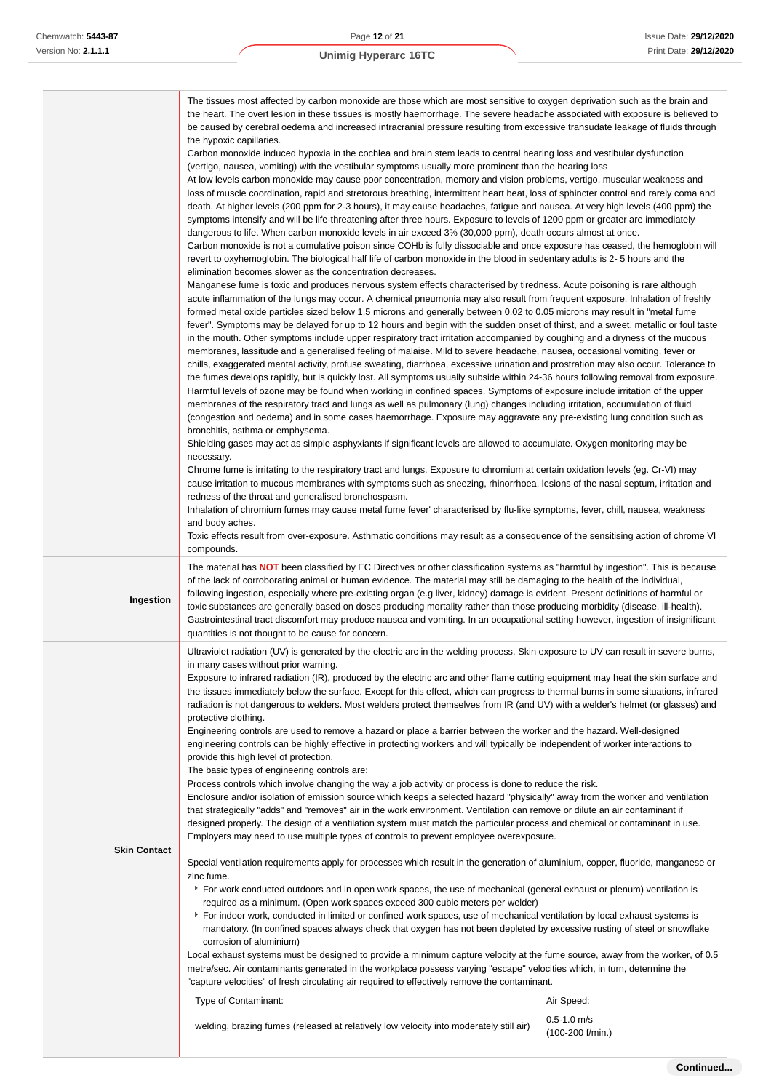|                     | The tissues most affected by carbon monoxide are those which are most sensitive to oxygen deprivation such as the brain and<br>the heart. The overt lesion in these tissues is mostly haemorrhage. The severe headache associated with exposure is believed to<br>be caused by cerebral oedema and increased intracranial pressure resulting from excessive transudate leakage of fluids through<br>the hypoxic capillaries.<br>Carbon monoxide induced hypoxia in the cochlea and brain stem leads to central hearing loss and vestibular dysfunction<br>(vertigo, nausea, vomiting) with the vestibular symptoms usually more prominent than the hearing loss<br>At low levels carbon monoxide may cause poor concentration, memory and vision problems, vertigo, muscular weakness and<br>loss of muscle coordination, rapid and stretorous breathing, intermittent heart beat, loss of sphincter control and rarely coma and<br>death. At higher levels (200 ppm for 2-3 hours), it may cause headaches, fatigue and nausea. At very high levels (400 ppm) the<br>symptoms intensify and will be life-threatening after three hours. Exposure to levels of 1200 ppm or greater are immediately<br>dangerous to life. When carbon monoxide levels in air exceed 3% (30,000 ppm), death occurs almost at once.<br>Carbon monoxide is not a cumulative poison since COHb is fully dissociable and once exposure has ceased, the hemoglobin will<br>revert to oxyhemoglobin. The biological half life of carbon monoxide in the blood in sedentary adults is 2-5 hours and the<br>elimination becomes slower as the concentration decreases.<br>Manganese fume is toxic and produces nervous system effects characterised by tiredness. Acute poisoning is rare although<br>acute inflammation of the lungs may occur. A chemical pneumonia may also result from frequent exposure. Inhalation of freshly<br>formed metal oxide particles sized below 1.5 microns and generally between 0.02 to 0.05 microns may result in "metal fume<br>fever". Symptoms may be delayed for up to 12 hours and begin with the sudden onset of thirst, and a sweet, metallic or foul taste<br>in the mouth. Other symptoms include upper respiratory tract irritation accompanied by coughing and a dryness of the mucous<br>membranes, lassitude and a generalised feeling of malaise. Mild to severe headache, nausea, occasional vomiting, fever or<br>chills, exaggerated mental activity, profuse sweating, diarrhoea, excessive urination and prostration may also occur. Tolerance to<br>the fumes develops rapidly, but is quickly lost. All symptoms usually subside within 24-36 hours following removal from exposure.<br>Harmful levels of ozone may be found when working in confined spaces. Symptoms of exposure include irritation of the upper<br>membranes of the respiratory tract and lungs as well as pulmonary (lung) changes including irritation, accumulation of fluid<br>(congestion and oedema) and in some cases haemorrhage. Exposure may aggravate any pre-existing lung condition such as<br>bronchitis, asthma or emphysema.<br>Shielding gases may act as simple asphyxiants if significant levels are allowed to accumulate. Oxygen monitoring may be<br>necessary.<br>Chrome fume is irritating to the respiratory tract and lungs. Exposure to chromium at certain oxidation levels (eg. Cr-VI) may<br>cause irritation to mucous membranes with symptoms such as sneezing, rhinorrhoea, lesions of the nasal septum, irritation and<br>redness of the throat and generalised bronchospasm.<br>Inhalation of chromium fumes may cause metal fume fever' characterised by flu-like symptoms, fever, chill, nausea, weakness<br>and body aches.<br>Toxic effects result from over-exposure. Asthmatic conditions may result as a consequence of the sensitising action of chrome VI |  |
|---------------------|--------------------------------------------------------------------------------------------------------------------------------------------------------------------------------------------------------------------------------------------------------------------------------------------------------------------------------------------------------------------------------------------------------------------------------------------------------------------------------------------------------------------------------------------------------------------------------------------------------------------------------------------------------------------------------------------------------------------------------------------------------------------------------------------------------------------------------------------------------------------------------------------------------------------------------------------------------------------------------------------------------------------------------------------------------------------------------------------------------------------------------------------------------------------------------------------------------------------------------------------------------------------------------------------------------------------------------------------------------------------------------------------------------------------------------------------------------------------------------------------------------------------------------------------------------------------------------------------------------------------------------------------------------------------------------------------------------------------------------------------------------------------------------------------------------------------------------------------------------------------------------------------------------------------------------------------------------------------------------------------------------------------------------------------------------------------------------------------------------------------------------------------------------------------------------------------------------------------------------------------------------------------------------------------------------------------------------------------------------------------------------------------------------------------------------------------------------------------------------------------------------------------------------------------------------------------------------------------------------------------------------------------------------------------------------------------------------------------------------------------------------------------------------------------------------------------------------------------------------------------------------------------------------------------------------------------------------------------------------------------------------------------------------------------------------------------------------------------------------------------------------------------------------------------------------------------------------------------------------------------------------------------------------------------------------------------------------------------------------------------------------------------------------------------------------------------------------------------------------------------------------------------------------------------------------------------------------------------------------------------------------------------------------------------------------------------------------------------------------------------------------------------------------------------------------------------------------------------------------------------------------------------------------|--|
| Ingestion           | compounds.<br>The material has <b>NOT</b> been classified by EC Directives or other classification systems as "harmful by ingestion". This is because<br>of the lack of corroborating animal or human evidence. The material may still be damaging to the health of the individual,<br>following ingestion, especially where pre-existing organ (e.g liver, kidney) damage is evident. Present definitions of harmful or<br>toxic substances are generally based on doses producing mortality rather than those producing morbidity (disease, ill-health).<br>Gastrointestinal tract discomfort may produce nausea and vomiting. In an occupational setting however, ingestion of insignificant                                                                                                                                                                                                                                                                                                                                                                                                                                                                                                                                                                                                                                                                                                                                                                                                                                                                                                                                                                                                                                                                                                                                                                                                                                                                                                                                                                                                                                                                                                                                                                                                                                                                                                                                                                                                                                                                                                                                                                                                                                                                                                                                                                                                                                                                                                                                                                                                                                                                                                                                                                                                                                                                                                                                                                                                                                                                                                                                                                                                                                                                                                                                                                                                        |  |
| <b>Skin Contact</b> | quantities is not thought to be cause for concern.<br>Ultraviolet radiation (UV) is generated by the electric arc in the welding process. Skin exposure to UV can result in severe burns,<br>in many cases without prior warning.<br>Exposure to infrared radiation (IR), produced by the electric arc and other flame cutting equipment may heat the skin surface and<br>the tissues immediately below the surface. Except for this effect, which can progress to thermal burns in some situations, infrared<br>radiation is not dangerous to welders. Most welders protect themselves from IR (and UV) with a welder's helmet (or glasses) and<br>protective clothing.<br>Engineering controls are used to remove a hazard or place a barrier between the worker and the hazard. Well-designed<br>engineering controls can be highly effective in protecting workers and will typically be independent of worker interactions to<br>provide this high level of protection.<br>The basic types of engineering controls are:<br>Process controls which involve changing the way a job activity or process is done to reduce the risk.<br>Enclosure and/or isolation of emission source which keeps a selected hazard "physically" away from the worker and ventilation<br>that strategically "adds" and "removes" air in the work environment. Ventilation can remove or dilute an air contaminant if<br>designed properly. The design of a ventilation system must match the particular process and chemical or contaminant in use.<br>Employers may need to use multiple types of controls to prevent employee overexposure.<br>Special ventilation requirements apply for processes which result in the generation of aluminium, copper, fluoride, manganese or<br>zinc fume.<br>For work conducted outdoors and in open work spaces, the use of mechanical (general exhaust or plenum) ventilation is<br>required as a minimum. (Open work spaces exceed 300 cubic meters per welder)<br>For indoor work, conducted in limited or confined work spaces, use of mechanical ventilation by local exhaust systems is<br>mandatory. (In confined spaces always check that oxygen has not been depleted by excessive rusting of steel or snowflake<br>corrosion of aluminium)<br>Local exhaust systems must be designed to provide a minimum capture velocity at the fume source, away from the worker, of 0.5<br>metre/sec. Air contaminants generated in the workplace possess varying "escape" velocities which, in turn, determine the<br>"capture velocities" of fresh circulating air required to effectively remove the contaminant.<br>Air Speed:<br>Type of Contaminant:<br>$0.5 - 1.0$ m/s<br>welding, brazing fumes (released at relatively low velocity into moderately still air)                                                                                                                                                                                                                                                                                                                                                                                                                                                                                                                                                                                                                                                                                                                                                                                                                                                                                                                                                                                                                                                                                                          |  |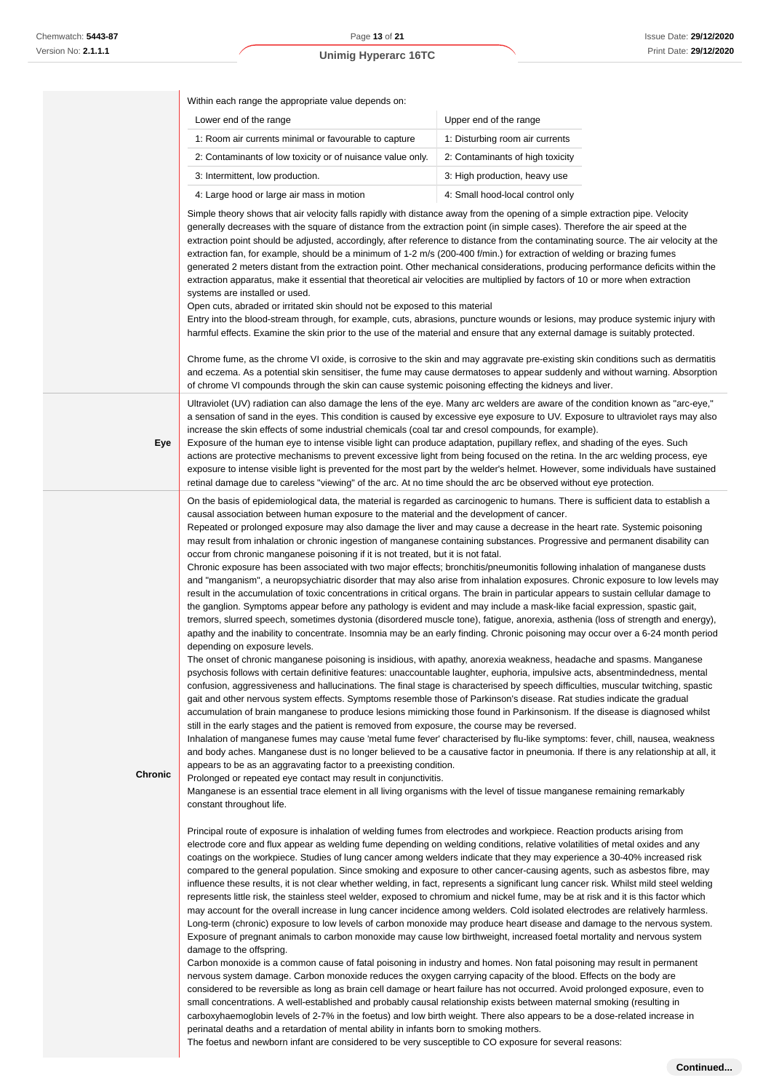$\overline{\phantom{a}}$ 

# **Unimig Hyperarc 16TC**

|         | Within each range the appropriate value depends on:                                                                                                                                                                                                                                                                                                                                                                                                                                                                                                                                                                                                                                                                                                                                                                                                                                                                                                                                                                                                                                                                                                                                         |                                                                                                                                                                                                                                                                                                                                                                                                                                                                                                                                                                                                                                                                                                                                                                                                                                                                                                                                                                                                                                                                                                                                                                                                                                                                                                                                                                                                                                                                                                                                                                                                                                                                                                                                                                                                                                                                                                                                                                                                                                                                                                                                                                                                                                                                                                                                                                                                                                                                                                                                                                                                                                                                                                                                                                                                                                                                                                                                                                                                                                                                                                                                                                                                                                                                                                                                                                                                                                                                                                                                                                                                                                                                                                                                              |  |
|---------|---------------------------------------------------------------------------------------------------------------------------------------------------------------------------------------------------------------------------------------------------------------------------------------------------------------------------------------------------------------------------------------------------------------------------------------------------------------------------------------------------------------------------------------------------------------------------------------------------------------------------------------------------------------------------------------------------------------------------------------------------------------------------------------------------------------------------------------------------------------------------------------------------------------------------------------------------------------------------------------------------------------------------------------------------------------------------------------------------------------------------------------------------------------------------------------------|----------------------------------------------------------------------------------------------------------------------------------------------------------------------------------------------------------------------------------------------------------------------------------------------------------------------------------------------------------------------------------------------------------------------------------------------------------------------------------------------------------------------------------------------------------------------------------------------------------------------------------------------------------------------------------------------------------------------------------------------------------------------------------------------------------------------------------------------------------------------------------------------------------------------------------------------------------------------------------------------------------------------------------------------------------------------------------------------------------------------------------------------------------------------------------------------------------------------------------------------------------------------------------------------------------------------------------------------------------------------------------------------------------------------------------------------------------------------------------------------------------------------------------------------------------------------------------------------------------------------------------------------------------------------------------------------------------------------------------------------------------------------------------------------------------------------------------------------------------------------------------------------------------------------------------------------------------------------------------------------------------------------------------------------------------------------------------------------------------------------------------------------------------------------------------------------------------------------------------------------------------------------------------------------------------------------------------------------------------------------------------------------------------------------------------------------------------------------------------------------------------------------------------------------------------------------------------------------------------------------------------------------------------------------------------------------------------------------------------------------------------------------------------------------------------------------------------------------------------------------------------------------------------------------------------------------------------------------------------------------------------------------------------------------------------------------------------------------------------------------------------------------------------------------------------------------------------------------------------------------------------------------------------------------------------------------------------------------------------------------------------------------------------------------------------------------------------------------------------------------------------------------------------------------------------------------------------------------------------------------------------------------------------------------------------------------------------------------------------------------|--|
|         | Lower end of the range                                                                                                                                                                                                                                                                                                                                                                                                                                                                                                                                                                                                                                                                                                                                                                                                                                                                                                                                                                                                                                                                                                                                                                      | Upper end of the range                                                                                                                                                                                                                                                                                                                                                                                                                                                                                                                                                                                                                                                                                                                                                                                                                                                                                                                                                                                                                                                                                                                                                                                                                                                                                                                                                                                                                                                                                                                                                                                                                                                                                                                                                                                                                                                                                                                                                                                                                                                                                                                                                                                                                                                                                                                                                                                                                                                                                                                                                                                                                                                                                                                                                                                                                                                                                                                                                                                                                                                                                                                                                                                                                                                                                                                                                                                                                                                                                                                                                                                                                                                                                                                       |  |
|         | 1: Room air currents minimal or favourable to capture                                                                                                                                                                                                                                                                                                                                                                                                                                                                                                                                                                                                                                                                                                                                                                                                                                                                                                                                                                                                                                                                                                                                       | 1: Disturbing room air currents                                                                                                                                                                                                                                                                                                                                                                                                                                                                                                                                                                                                                                                                                                                                                                                                                                                                                                                                                                                                                                                                                                                                                                                                                                                                                                                                                                                                                                                                                                                                                                                                                                                                                                                                                                                                                                                                                                                                                                                                                                                                                                                                                                                                                                                                                                                                                                                                                                                                                                                                                                                                                                                                                                                                                                                                                                                                                                                                                                                                                                                                                                                                                                                                                                                                                                                                                                                                                                                                                                                                                                                                                                                                                                              |  |
|         | 2: Contaminants of low toxicity or of nuisance value only.                                                                                                                                                                                                                                                                                                                                                                                                                                                                                                                                                                                                                                                                                                                                                                                                                                                                                                                                                                                                                                                                                                                                  | 2: Contaminants of high toxicity                                                                                                                                                                                                                                                                                                                                                                                                                                                                                                                                                                                                                                                                                                                                                                                                                                                                                                                                                                                                                                                                                                                                                                                                                                                                                                                                                                                                                                                                                                                                                                                                                                                                                                                                                                                                                                                                                                                                                                                                                                                                                                                                                                                                                                                                                                                                                                                                                                                                                                                                                                                                                                                                                                                                                                                                                                                                                                                                                                                                                                                                                                                                                                                                                                                                                                                                                                                                                                                                                                                                                                                                                                                                                                             |  |
|         | 3: Intermittent, low production.                                                                                                                                                                                                                                                                                                                                                                                                                                                                                                                                                                                                                                                                                                                                                                                                                                                                                                                                                                                                                                                                                                                                                            | 3: High production, heavy use                                                                                                                                                                                                                                                                                                                                                                                                                                                                                                                                                                                                                                                                                                                                                                                                                                                                                                                                                                                                                                                                                                                                                                                                                                                                                                                                                                                                                                                                                                                                                                                                                                                                                                                                                                                                                                                                                                                                                                                                                                                                                                                                                                                                                                                                                                                                                                                                                                                                                                                                                                                                                                                                                                                                                                                                                                                                                                                                                                                                                                                                                                                                                                                                                                                                                                                                                                                                                                                                                                                                                                                                                                                                                                                |  |
|         | 4: Large hood or large air mass in motion                                                                                                                                                                                                                                                                                                                                                                                                                                                                                                                                                                                                                                                                                                                                                                                                                                                                                                                                                                                                                                                                                                                                                   | 4: Small hood-local control only                                                                                                                                                                                                                                                                                                                                                                                                                                                                                                                                                                                                                                                                                                                                                                                                                                                                                                                                                                                                                                                                                                                                                                                                                                                                                                                                                                                                                                                                                                                                                                                                                                                                                                                                                                                                                                                                                                                                                                                                                                                                                                                                                                                                                                                                                                                                                                                                                                                                                                                                                                                                                                                                                                                                                                                                                                                                                                                                                                                                                                                                                                                                                                                                                                                                                                                                                                                                                                                                                                                                                                                                                                                                                                             |  |
|         | Simple theory shows that air velocity falls rapidly with distance away from the opening of a simple extraction pipe. Velocity<br>generally decreases with the square of distance from the extraction point (in simple cases). Therefore the air speed at the<br>extraction point should be adjusted, accordingly, after reference to distance from the contaminating source. The air velocity at the<br>extraction fan, for example, should be a minimum of 1-2 m/s (200-400 f/min.) for extraction of welding or brazing fumes<br>generated 2 meters distant from the extraction point. Other mechanical considerations, producing performance deficits within the<br>extraction apparatus, make it essential that theoretical air velocities are multiplied by factors of 10 or more when extraction<br>systems are installed or used.<br>Open cuts, abraded or irritated skin should not be exposed to this material<br>Entry into the blood-stream through, for example, cuts, abrasions, puncture wounds or lesions, may produce systemic injury with<br>harmful effects. Examine the skin prior to the use of the material and ensure that any external damage is suitably protected. |                                                                                                                                                                                                                                                                                                                                                                                                                                                                                                                                                                                                                                                                                                                                                                                                                                                                                                                                                                                                                                                                                                                                                                                                                                                                                                                                                                                                                                                                                                                                                                                                                                                                                                                                                                                                                                                                                                                                                                                                                                                                                                                                                                                                                                                                                                                                                                                                                                                                                                                                                                                                                                                                                                                                                                                                                                                                                                                                                                                                                                                                                                                                                                                                                                                                                                                                                                                                                                                                                                                                                                                                                                                                                                                                              |  |
|         | of chrome VI compounds through the skin can cause systemic poisoning effecting the kidneys and liver.                                                                                                                                                                                                                                                                                                                                                                                                                                                                                                                                                                                                                                                                                                                                                                                                                                                                                                                                                                                                                                                                                       | Chrome fume, as the chrome VI oxide, is corrosive to the skin and may aggravate pre-existing skin conditions such as dermatitis<br>and eczema. As a potential skin sensitiser, the fume may cause dermatoses to appear suddenly and without warning. Absorption                                                                                                                                                                                                                                                                                                                                                                                                                                                                                                                                                                                                                                                                                                                                                                                                                                                                                                                                                                                                                                                                                                                                                                                                                                                                                                                                                                                                                                                                                                                                                                                                                                                                                                                                                                                                                                                                                                                                                                                                                                                                                                                                                                                                                                                                                                                                                                                                                                                                                                                                                                                                                                                                                                                                                                                                                                                                                                                                                                                                                                                                                                                                                                                                                                                                                                                                                                                                                                                                              |  |
|         |                                                                                                                                                                                                                                                                                                                                                                                                                                                                                                                                                                                                                                                                                                                                                                                                                                                                                                                                                                                                                                                                                                                                                                                             | Ultraviolet (UV) radiation can also damage the lens of the eye. Many arc welders are aware of the condition known as "arc-eye,"                                                                                                                                                                                                                                                                                                                                                                                                                                                                                                                                                                                                                                                                                                                                                                                                                                                                                                                                                                                                                                                                                                                                                                                                                                                                                                                                                                                                                                                                                                                                                                                                                                                                                                                                                                                                                                                                                                                                                                                                                                                                                                                                                                                                                                                                                                                                                                                                                                                                                                                                                                                                                                                                                                                                                                                                                                                                                                                                                                                                                                                                                                                                                                                                                                                                                                                                                                                                                                                                                                                                                                                                              |  |
| Eye     | increase the skin effects of some industrial chemicals (coal tar and cresol compounds, for example).<br>retinal damage due to careless "viewing" of the arc. At no time should the arc be observed without eye protection.                                                                                                                                                                                                                                                                                                                                                                                                                                                                                                                                                                                                                                                                                                                                                                                                                                                                                                                                                                  | a sensation of sand in the eyes. This condition is caused by excessive eye exposure to UV. Exposure to ultraviolet rays may also<br>Exposure of the human eye to intense visible light can produce adaptation, pupillary reflex, and shading of the eyes. Such<br>actions are protective mechanisms to prevent excessive light from being focused on the retina. In the arc welding process, eye<br>exposure to intense visible light is prevented for the most part by the welder's helmet. However, some individuals have sustained                                                                                                                                                                                                                                                                                                                                                                                                                                                                                                                                                                                                                                                                                                                                                                                                                                                                                                                                                                                                                                                                                                                                                                                                                                                                                                                                                                                                                                                                                                                                                                                                                                                                                                                                                                                                                                                                                                                                                                                                                                                                                                                                                                                                                                                                                                                                                                                                                                                                                                                                                                                                                                                                                                                                                                                                                                                                                                                                                                                                                                                                                                                                                                                                        |  |
| Chronic | causal association between human exposure to the material and the development of cancer.<br>occur from chronic manganese poisoning if it is not treated, but it is not fatal.<br>depending on exposure levels.<br>still in the early stages and the patient is removed from exposure, the course may be reversed.<br>appears to be as an aggravating factor to a preexisting condition.<br>Prolonged or repeated eye contact may result in conjunctivitis.<br>constant throughout life.<br>Principal route of exposure is inhalation of welding fumes from electrodes and workpiece. Reaction products arising from<br>damage to the offspring.<br>nervous system damage. Carbon monoxide reduces the oxygen carrying capacity of the blood. Effects on the body are<br>small concentrations. A well-established and probably causal relationship exists between maternal smoking (resulting in                                                                                                                                                                                                                                                                                             | On the basis of epidemiological data, the material is regarded as carcinogenic to humans. There is sufficient data to establish a<br>Repeated or prolonged exposure may also damage the liver and may cause a decrease in the heart rate. Systemic poisoning<br>may result from inhalation or chronic ingestion of manganese containing substances. Progressive and permanent disability can<br>Chronic exposure has been associated with two major effects; bronchitis/pneumonitis following inhalation of manganese dusts<br>and "manganism", a neuropsychiatric disorder that may also arise from inhalation exposures. Chronic exposure to low levels may<br>result in the accumulation of toxic concentrations in critical organs. The brain in particular appears to sustain cellular damage to<br>the ganglion. Symptoms appear before any pathology is evident and may include a mask-like facial expression, spastic gait,<br>tremors, slurred speech, sometimes dystonia (disordered muscle tone), fatigue, anorexia, asthenia (loss of strength and energy),<br>apathy and the inability to concentrate. Insomnia may be an early finding. Chronic poisoning may occur over a 6-24 month period<br>The onset of chronic manganese poisoning is insidious, with apathy, anorexia weakness, headache and spasms. Manganese<br>psychosis follows with certain definitive features: unaccountable laughter, euphoria, impulsive acts, absentmindedness, mental<br>confusion, aggressiveness and hallucinations. The final stage is characterised by speech difficulties, muscular twitching, spastic<br>gait and other nervous system effects. Symptoms resemble those of Parkinson's disease. Rat studies indicate the gradual<br>accumulation of brain manganese to produce lesions mimicking those found in Parkinsonism. If the disease is diagnosed whilst<br>Inhalation of manganese fumes may cause 'metal fume fever' characterised by flu-like symptoms: fever, chill, nausea, weakness<br>and body aches. Manganese dust is no longer believed to be a causative factor in pneumonia. If there is any relationship at all, it<br>Manganese is an essential trace element in all living organisms with the level of tissue manganese remaining remarkably<br>electrode core and flux appear as welding fume depending on welding conditions, relative volatilities of metal oxides and any<br>coatings on the workpiece. Studies of lung cancer among welders indicate that they may experience a 30-40% increased risk<br>compared to the general population. Since smoking and exposure to other cancer-causing agents, such as asbestos fibre, may<br>influence these results, it is not clear whether welding, in fact, represents a significant lung cancer risk. Whilst mild steel welding<br>represents little risk, the stainless steel welder, exposed to chromium and nickel fume, may be at risk and it is this factor which<br>may account for the overall increase in lung cancer incidence among welders. Cold isolated electrodes are relatively harmless.<br>Long-term (chronic) exposure to low levels of carbon monoxide may produce heart disease and damage to the nervous system.<br>Exposure of pregnant animals to carbon monoxide may cause low birthweight, increased foetal mortality and nervous system<br>Carbon monoxide is a common cause of fatal poisoning in industry and homes. Non fatal poisoning may result in permanent<br>considered to be reversible as long as brain cell damage or heart failure has not occurred. Avoid prolonged exposure, even to<br>carboxyhaemoglobin levels of 2-7% in the foetus) and low birth weight. There also appears to be a dose-related increase in |  |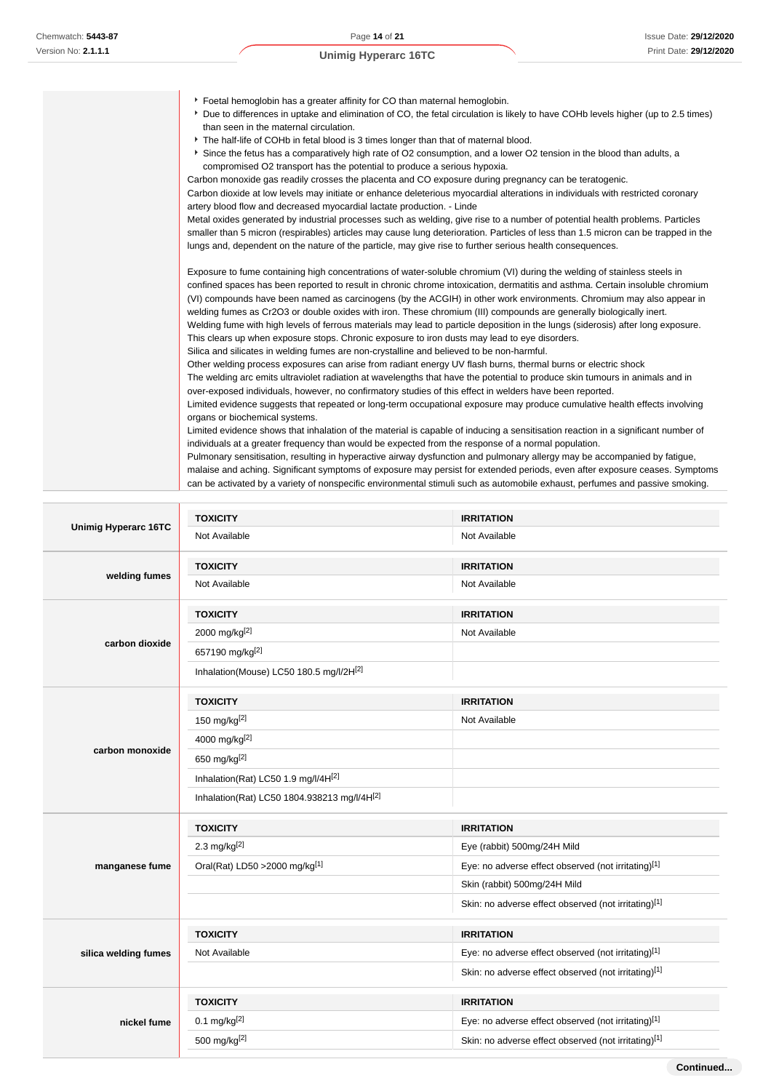the control of the control of

|  | <b>Unimig Hyperarc 16TC</b> |  |
|--|-----------------------------|--|
|--|-----------------------------|--|

| ▶ Foetal hemoglobin has a greater affinity for CO than maternal hemoglobin.                                                                                                  |
|------------------------------------------------------------------------------------------------------------------------------------------------------------------------------|
| > Due to differences in uptake and elimination of CO, the fetal circulation is likely to have COHb levels higher (up to 2.5 times)<br>than seen in the maternal circulation. |
| The half-life of COHb in fetal blood is 3 times longer than that of maternal blood.                                                                                          |
| Since the fetus has a comparatively high rate of O2 consumption, and a lower O2 tension in the blood than adults, a                                                          |
| compromised O2 transport has the potential to produce a serious hypoxia.                                                                                                     |
| Carbon monoxide gas readily crosses the placenta and CO exposure during pregnancy can be teratogenic.                                                                        |
| Carbon dioxide at low levels may initiate or enhance deleterious myocardial alterations in individuals with restricted coronary                                              |
| artery blood flow and decreased myocardial lactate production. - Linde                                                                                                       |
| Metal oxides generated by industrial processes such as welding, give rise to a number of potential health problems. Particles                                                |
| smaller than 5 micron (respirables) articles may cause lung deterioration. Particles of less than 1.5 micron can be trapped in the                                           |
| lungs and, dependent on the nature of the particle, may give rise to further serious health consequences.                                                                    |
|                                                                                                                                                                              |
| Exposure to fume containing high concentrations of water-soluble chromium (VI) during the welding of stainless steels in                                                     |
| confined spaces has been reported to result in chronic chrome intoxication, dermatitis and asthma. Certain insoluble chromium                                                |
| (VI) compounds have been named as carcinogens (by the ACGIH) in other work environments. Chromium may also appear in                                                         |
| welding fumes as Cr2O3 or double oxides with iron. These chromium (III) compounds are generally biologically inert.                                                          |
| Welding fume with high levels of ferrous materials may lead to particle deposition in the lungs (siderosis) after long exposure.                                             |
| This clears up when exposure stops. Chronic exposure to iron dusts may lead to eye disorders.                                                                                |
| Silica and silicates in welding fumes are non-crystalline and believed to be non-harmful.                                                                                    |
| Other welding process exposures can arise from radiant energy UV flash burns, thermal burns or electric shock                                                                |
| The welding arc emits ultraviolet radiation at wavelengths that have the potential to produce skin tumours in animals and in                                                 |
| over-exposed individuals, however, no confirmatory studies of this effect in welders have been reported.                                                                     |
| Limited evidence suggests that repeated or long-term occupational exposure may produce cumulative health effects involving                                                   |
| organs or biochemical systems.                                                                                                                                               |
| Limited evidence shows that inhalation of the material is capable of inducing a sensitisation reaction in a significant number of                                            |
| individuals at a greater frequency than would be expected from the response of a normal population.                                                                          |
| Pulmonary sensitisation, resulting in hyperactive airway dysfunction and pulmonary allergy may be accompanied by fatigue,                                                    |
| malaise and aching. Significant symptoms of exposure may persist for extended periods, even after exposure ceases. Symptoms                                                  |
| can be activated by a variety of nonspecific environmental stimuli such as automobile exhaust, perfumes and passive smoking.                                                 |

|                             | <b>TOXICITY</b>                             | <b>IRRITATION</b>                                    |
|-----------------------------|---------------------------------------------|------------------------------------------------------|
| <b>Unimig Hyperarc 16TC</b> | Not Available                               | Not Available                                        |
| welding fumes               | <b>TOXICITY</b>                             | <b>IRRITATION</b>                                    |
|                             | Not Available                               | Not Available                                        |
|                             | <b>TOXICITY</b>                             | <b>IRRITATION</b>                                    |
| carbon dioxide              | 2000 mg/kg[2]                               | Not Available                                        |
|                             | 657190 mg/kg[2]                             |                                                      |
|                             | Inhalation(Mouse) LC50 180.5 mg/l/2H[2]     |                                                      |
|                             | <b>TOXICITY</b>                             | <b>IRRITATION</b>                                    |
|                             | 150 mg/kg $[2]$                             | Not Available                                        |
| carbon monoxide             | 4000 mg/kg[2]                               |                                                      |
|                             | 650 mg/kg[2]                                |                                                      |
|                             | Inhalation(Rat) LC50 1.9 mg/l/4H[2]         |                                                      |
|                             | Inhalation(Rat) LC50 1804.938213 mg/l/4H[2] |                                                      |
|                             | <b>TOXICITY</b>                             | <b>IRRITATION</b>                                    |
|                             | 2.3 mg/kg $[2]$                             | Eye (rabbit) 500mg/24H Mild                          |
| manganese fume              | Oral(Rat) LD50 > 2000 mg/kg <sup>[1]</sup>  | Eye: no adverse effect observed (not irritating)[1]  |
|                             |                                             | Skin (rabbit) 500mg/24H Mild                         |
|                             |                                             | Skin: no adverse effect observed (not irritating)[1] |
|                             | <b>TOXICITY</b>                             | <b>IRRITATION</b>                                    |
| silica welding fumes        | Not Available                               | Eye: no adverse effect observed (not irritating)[1]  |
|                             |                                             | Skin: no adverse effect observed (not irritating)[1] |
|                             | <b>TOXICITY</b>                             | <b>IRRITATION</b>                                    |
| nickel fume                 | $0.1$ mg/kg <sup>[2]</sup>                  | Eye: no adverse effect observed (not irritating)[1]  |
|                             | 500 mg/kg[2]                                | Skin: no adverse effect observed (not irritating)[1] |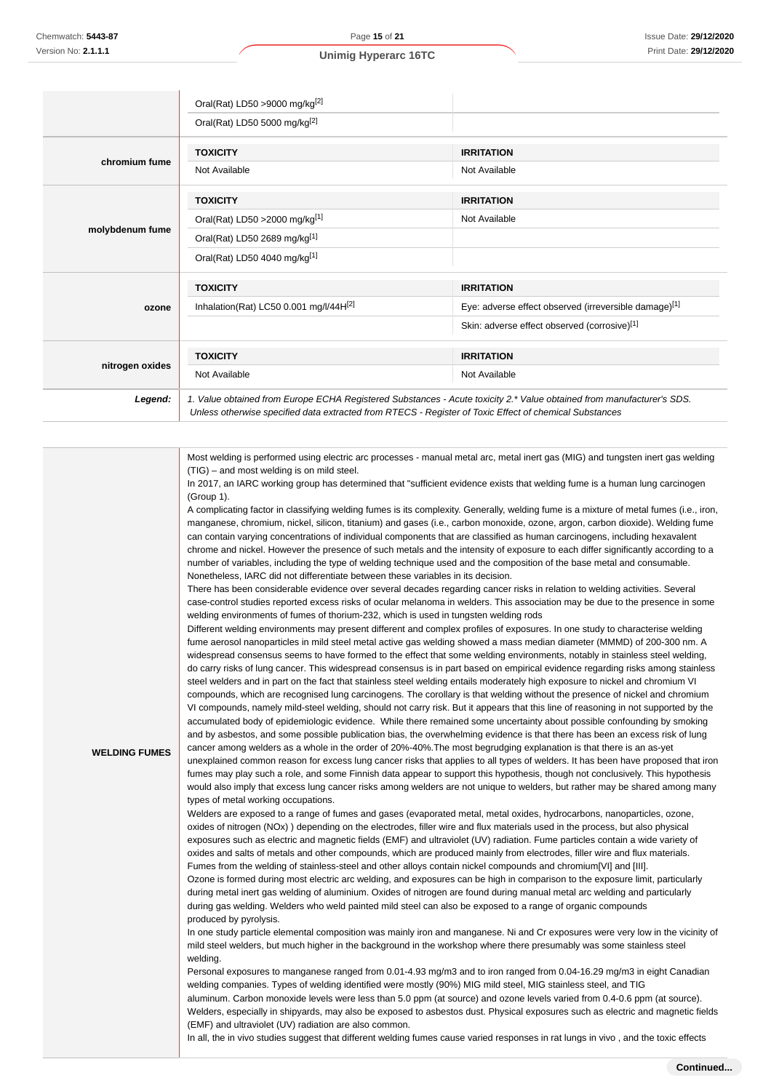**WELDING FUMES**

|                 | Oral(Rat) LD50 >9000 mg/kg[2]                                                                                                                                                                                                   |                                                       |
|-----------------|---------------------------------------------------------------------------------------------------------------------------------------------------------------------------------------------------------------------------------|-------------------------------------------------------|
|                 | Oral(Rat) LD50 5000 mg/kg[2]                                                                                                                                                                                                    |                                                       |
|                 | <b>TOXICITY</b>                                                                                                                                                                                                                 | <b>IRRITATION</b>                                     |
| chromium fume   | Not Available                                                                                                                                                                                                                   | Not Available                                         |
|                 | <b>TOXICITY</b>                                                                                                                                                                                                                 | <b>IRRITATION</b>                                     |
| molybdenum fume | Oral(Rat) LD50 > 2000 mg/kg[1]                                                                                                                                                                                                  | Not Available                                         |
|                 | Oral(Rat) LD50 2689 mg/kg[1]                                                                                                                                                                                                    |                                                       |
|                 | Oral(Rat) LD50 4040 mg/kg[1]                                                                                                                                                                                                    |                                                       |
| ozone           | <b>TOXICITY</b>                                                                                                                                                                                                                 | <b>IRRITATION</b>                                     |
|                 | Inhalation(Rat) LC50 0.001 mg/l/44H[2]                                                                                                                                                                                          | Eye: adverse effect observed (irreversible damage)[1] |
|                 |                                                                                                                                                                                                                                 | Skin: adverse effect observed (corrosive)[1]          |
|                 | <b>TOXICITY</b>                                                                                                                                                                                                                 | <b>IRRITATION</b>                                     |
| nitrogen oxides | Not Available                                                                                                                                                                                                                   | Not Available                                         |
| Legend:         | 1. Value obtained from Europe ECHA Registered Substances - Acute toxicity 2.* Value obtained from manufacturer's SDS.<br>Unless otherwise specified data extracted from RTECS - Register of Toxic Effect of chemical Substances |                                                       |

Most welding is performed using electric arc processes - manual metal arc, metal inert gas (MIG) and tungsten inert gas welding (TIG) – and most welding is on mild steel.

In 2017, an IARC working group has determined that "sufficient evidence exists that welding fume is a human lung carcinogen (Group 1).

A complicating factor in classifying welding fumes is its complexity. Generally, welding fume is a mixture of metal fumes (i.e., iron, manganese, chromium, nickel, silicon, titanium) and gases (i.e., carbon monoxide, ozone, argon, carbon dioxide). Welding fume can contain varying concentrations of individual components that are classified as human carcinogens, including hexavalent chrome and nickel. However the presence of such metals and the intensity of exposure to each differ significantly according to a number of variables, including the type of welding technique used and the composition of the base metal and consumable. Nonetheless, IARC did not differentiate between these variables in its decision.

There has been considerable evidence over several decades regarding cancer risks in relation to welding activities. Several case-control studies reported excess risks of ocular melanoma in welders. This association may be due to the presence in some welding environments of fumes of thorium-232, which is used in tungsten welding rods

Different welding environments may present different and complex profiles of exposures. In one study to characterise welding fume aerosol nanoparticles in mild steel metal active gas welding showed a mass median diameter (MMMD) of 200-300 nm. A widespread consensus seems to have formed to the effect that some welding environments, notably in stainless steel welding, do carry risks of lung cancer. This widespread consensus is in part based on empirical evidence regarding risks among stainless steel welders and in part on the fact that stainless steel welding entails moderately high exposure to nickel and chromium VI compounds, which are recognised lung carcinogens. The corollary is that welding without the presence of nickel and chromium VI compounds, namely mild-steel welding, should not carry risk. But it appears that this line of reasoning in not supported by the accumulated body of epidemiologic evidence. While there remained some uncertainty about possible confounding by smoking and by asbestos, and some possible publication bias, the overwhelming evidence is that there has been an excess risk of lung cancer among welders as a whole in the order of 20%-40%.The most begrudging explanation is that there is an as-yet

unexplained common reason for excess lung cancer risks that applies to all types of welders. It has been have proposed that iron fumes may play such a role, and some Finnish data appear to support this hypothesis, though not conclusively. This hypothesis would also imply that excess lung cancer risks among welders are not unique to welders, but rather may be shared among many types of metal working occupations.

Welders are exposed to a range of fumes and gases (evaporated metal, metal oxides, hydrocarbons, nanoparticles, ozone,  $\alpha$  ides of nitrogen (NOx) ) depending on the electrodes, filler wire and flux materials used in the process, but also physical exposures such as electric and magnetic fields (EMF) and ultraviolet (UV) radiation. Fume particles contain a wide variety of oxides and salts of metals and other compounds, which are produced mainly from electrodes, filler wire and flux materials. Fumes from the welding of stainless-steel and other alloys contain nickel compounds and chromium[VI] and [III]. Ozone is formed during most electric arc welding, and exposures can be high in comparison to the exposure limit, particularly during metal inert gas welding of aluminium. Oxides of nitrogen are found during manual metal arc welding and particularly during gas welding. Welders who weld painted mild steel can also be exposed to a range of organic compounds produced by pyrolysis.

In one study particle elemental composition was mainly iron and manganese. Ni and Cr exposures were very low in the vicinity of mild steel welders, but much higher in the background in the workshop where there presumably was some stainless steel welding.

Personal exposures to manganese ranged from 0.01-4.93 mg/m3 and to iron ranged from 0.04-16.29 mg/m3 in eight Canadian welding companies. Types of welding identified were mostly (90%) MIG mild steel, MIG stainless steel, and TIG aluminum. Carbon monoxide levels were less than 5.0 ppm (at source) and ozone levels varied from 0.4-0.6 ppm (at source). Welders, especially in shipyards, may also be exposed to asbestos dust. Physical exposures such as electric and magnetic fields (EMF) and ultraviolet (UV) radiation are also common.

In all, the in vivo studies suggest that different welding fumes cause varied responses in rat lungs in vivo, and the toxic effects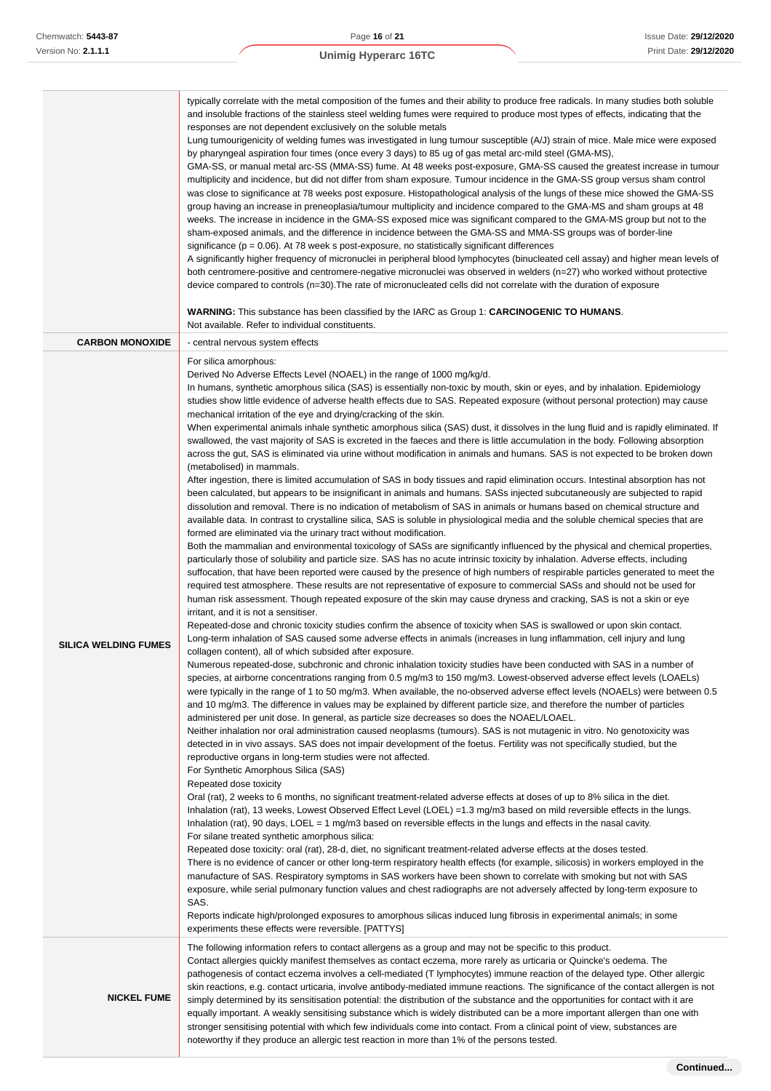|                             | typically correlate with the metal composition of the fumes and their ability to produce free radicals. In many studies both soluble<br>and insoluble fractions of the stainless steel welding fumes were required to produce most types of effects, indicating that the<br>responses are not dependent exclusively on the soluble metals<br>Lung tumourigenicity of welding fumes was investigated in lung tumour susceptible (A/J) strain of mice. Male mice were exposed<br>by pharyngeal aspiration four times (once every 3 days) to 85 ug of gas metal arc-mild steel (GMA-MS),<br>GMA-SS, or manual metal arc-SS (MMA-SS) fume. At 48 weeks post-exposure, GMA-SS caused the greatest increase in tumour<br>multiplicity and incidence, but did not differ from sham exposure. Tumour incidence in the GMA-SS group versus sham control<br>was close to significance at 78 weeks post exposure. Histopathological analysis of the lungs of these mice showed the GMA-SS<br>group having an increase in preneoplasia/tumour multiplicity and incidence compared to the GMA-MS and sham groups at 48<br>weeks. The increase in incidence in the GMA-SS exposed mice was significant compared to the GMA-MS group but not to the<br>sham-exposed animals, and the difference in incidence between the GMA-SS and MMA-SS groups was of border-line<br>significance ( $p = 0.06$ ). At 78 week s post-exposure, no statistically significant differences<br>A significantly higher frequency of micronuclei in peripheral blood lymphocytes (binucleated cell assay) and higher mean levels of<br>both centromere-positive and centromere-negative micronuclei was observed in welders (n=27) who worked without protective<br>device compared to controls (n=30). The rate of micronucleated cells did not correlate with the duration of exposure<br><b>WARNING:</b> This substance has been classified by the IARC as Group 1: <b>CARCINOGENIC TO HUMANS</b> .<br>Not available. Refer to individual constituents.                                                                                                                                                                                                                                                                                                                                                                                                                                                                                                                                                                                                                                                                                                                                                                                                                                                                                                                                                                                                                                                                                                                                                                                                                                                                                                                                                                                                                                                                                                                                                                                                                                                                                                                                                                                                                                                                                                                                                                                                                                                                                                                                                                                                                                                                                                                                                                                                                                                                                                                                                                                                                                                      |
|-----------------------------|------------------------------------------------------------------------------------------------------------------------------------------------------------------------------------------------------------------------------------------------------------------------------------------------------------------------------------------------------------------------------------------------------------------------------------------------------------------------------------------------------------------------------------------------------------------------------------------------------------------------------------------------------------------------------------------------------------------------------------------------------------------------------------------------------------------------------------------------------------------------------------------------------------------------------------------------------------------------------------------------------------------------------------------------------------------------------------------------------------------------------------------------------------------------------------------------------------------------------------------------------------------------------------------------------------------------------------------------------------------------------------------------------------------------------------------------------------------------------------------------------------------------------------------------------------------------------------------------------------------------------------------------------------------------------------------------------------------------------------------------------------------------------------------------------------------------------------------------------------------------------------------------------------------------------------------------------------------------------------------------------------------------------------------------------------------------------------------------------------------------------------------------------------------------------------------------------------------------------------------------------------------------------------------------------------------------------------------------------------------------------------------------------------------------------------------------------------------------------------------------------------------------------------------------------------------------------------------------------------------------------------------------------------------------------------------------------------------------------------------------------------------------------------------------------------------------------------------------------------------------------------------------------------------------------------------------------------------------------------------------------------------------------------------------------------------------------------------------------------------------------------------------------------------------------------------------------------------------------------------------------------------------------------------------------------------------------------------------------------------------------------------------------------------------------------------------------------------------------------------------------------------------------------------------------------------------------------------------------------------------------------------------------------------------------------------------------------------------------------------------------------------------------------------------------------------------------------------------------------------------------------------------------------------------------------------------------------------------------------------------------------------------------------------------------------------------------------------------------------------------------------------------------------------------------------------------------------------------------------------------------------------------------------------------------------------------------------------------------------------------------------------------------------------------------------------------------------------------------------------------------------------------------------------------------------------------------------------------------------------------------------------------------------------------------|
| <b>CARBON MONOXIDE</b>      | - central nervous system effects                                                                                                                                                                                                                                                                                                                                                                                                                                                                                                                                                                                                                                                                                                                                                                                                                                                                                                                                                                                                                                                                                                                                                                                                                                                                                                                                                                                                                                                                                                                                                                                                                                                                                                                                                                                                                                                                                                                                                                                                                                                                                                                                                                                                                                                                                                                                                                                                                                                                                                                                                                                                                                                                                                                                                                                                                                                                                                                                                                                                                                                                                                                                                                                                                                                                                                                                                                                                                                                                                                                                                                                                                                                                                                                                                                                                                                                                                                                                                                                                                                                                                                                                                                                                                                                                                                                                                                                                                                                                                                                                                                                                                                             |
| <b>SILICA WELDING FUMES</b> | For silica amorphous:<br>Derived No Adverse Effects Level (NOAEL) in the range of 1000 mg/kg/d.<br>In humans, synthetic amorphous silica (SAS) is essentially non-toxic by mouth, skin or eyes, and by inhalation. Epidemiology<br>studies show little evidence of adverse health effects due to SAS. Repeated exposure (without personal protection) may cause<br>mechanical irritation of the eye and drying/cracking of the skin.<br>When experimental animals inhale synthetic amorphous silica (SAS) dust, it dissolves in the lung fluid and is rapidly eliminated. If<br>swallowed, the vast majority of SAS is excreted in the faeces and there is little accumulation in the body. Following absorption<br>across the gut, SAS is eliminated via urine without modification in animals and humans. SAS is not expected to be broken down<br>(metabolised) in mammals.<br>After ingestion, there is limited accumulation of SAS in body tissues and rapid elimination occurs. Intestinal absorption has not<br>been calculated, but appears to be insignificant in animals and humans. SASs injected subcutaneously are subjected to rapid<br>dissolution and removal. There is no indication of metabolism of SAS in animals or humans based on chemical structure and<br>available data. In contrast to crystalline silica, SAS is soluble in physiological media and the soluble chemical species that are<br>formed are eliminated via the urinary tract without modification.<br>Both the mammalian and environmental toxicology of SASs are significantly influenced by the physical and chemical properties,<br>particularly those of solubility and particle size. SAS has no acute intrinsic toxicity by inhalation. Adverse effects, including<br>suffocation, that have been reported were caused by the presence of high numbers of respirable particles generated to meet the<br>required test atmosphere. These results are not representative of exposure to commercial SASs and should not be used for<br>human risk assessment. Though repeated exposure of the skin may cause dryness and cracking, SAS is not a skin or eye<br>irritant, and it is not a sensitiser.<br>Repeated-dose and chronic toxicity studies confirm the absence of toxicity when SAS is swallowed or upon skin contact.<br>Long-term inhalation of SAS caused some adverse effects in animals (increases in lung inflammation, cell injury and lung<br>collagen content), all of which subsided after exposure.<br>Numerous repeated-dose, subchronic and chronic inhalation toxicity studies have been conducted with SAS in a number of<br>species, at airborne concentrations ranging from 0.5 mg/m3 to 150 mg/m3. Lowest-observed adverse effect levels (LOAELs)<br>were typically in the range of 1 to 50 mg/m3. When available, the no-observed adverse effect levels (NOAELs) were between 0.5<br>and 10 mg/m3. The difference in values may be explained by different particle size, and therefore the number of particles<br>administered per unit dose. In general, as particle size decreases so does the NOAEL/LOAEL.<br>Neither inhalation nor oral administration caused neoplasms (tumours). SAS is not mutagenic in vitro. No genotoxicity was<br>detected in in vivo assays. SAS does not impair development of the foetus. Fertility was not specifically studied, but the<br>reproductive organs in long-term studies were not affected.<br>For Synthetic Amorphous Silica (SAS)<br>Repeated dose toxicity<br>Oral (rat), 2 weeks to 6 months, no significant treatment-related adverse effects at doses of up to 8% silica in the diet.<br>Inhalation (rat), 13 weeks, Lowest Observed Effect Level (LOEL) =1.3 mg/m3 based on mild reversible effects in the lungs.<br>Inhalation (rat), 90 days, LOEL = 1 mg/m3 based on reversible effects in the lungs and effects in the nasal cavity.<br>For silane treated synthetic amorphous silica:<br>Repeated dose toxicity: oral (rat), 28-d, diet, no significant treatment-related adverse effects at the doses tested.<br>There is no evidence of cancer or other long-term respiratory health effects (for example, silicosis) in workers employed in the<br>manufacture of SAS. Respiratory symptoms in SAS workers have been shown to correlate with smoking but not with SAS<br>exposure, while serial pulmonary function values and chest radiographs are not adversely affected by long-term exposure to<br>SAS.<br>Reports indicate high/prolonged exposures to amorphous silicas induced lung fibrosis in experimental animals; in some<br>experiments these effects were reversible. [PATTYS] |
| <b>NICKEL FUME</b>          | The following information refers to contact allergens as a group and may not be specific to this product.<br>Contact allergies quickly manifest themselves as contact eczema, more rarely as urticaria or Quincke's oedema. The<br>pathogenesis of contact eczema involves a cell-mediated (T lymphocytes) immune reaction of the delayed type. Other allergic<br>skin reactions, e.g. contact urticaria, involve antibody-mediated immune reactions. The significance of the contact allergen is not<br>simply determined by its sensitisation potential: the distribution of the substance and the opportunities for contact with it are<br>equally important. A weakly sensitising substance which is widely distributed can be a more important allergen than one with<br>stronger sensitising potential with which few individuals come into contact. From a clinical point of view, substances are<br>noteworthy if they produce an allergic test reaction in more than 1% of the persons tested.                                                                                                                                                                                                                                                                                                                                                                                                                                                                                                                                                                                                                                                                                                                                                                                                                                                                                                                                                                                                                                                                                                                                                                                                                                                                                                                                                                                                                                                                                                                                                                                                                                                                                                                                                                                                                                                                                                                                                                                                                                                                                                                                                                                                                                                                                                                                                                                                                                                                                                                                                                                                                                                                                                                                                                                                                                                                                                                                                                                                                                                                                                                                                                                                                                                                                                                                                                                                                                                                                                                                                                                                                                                                      |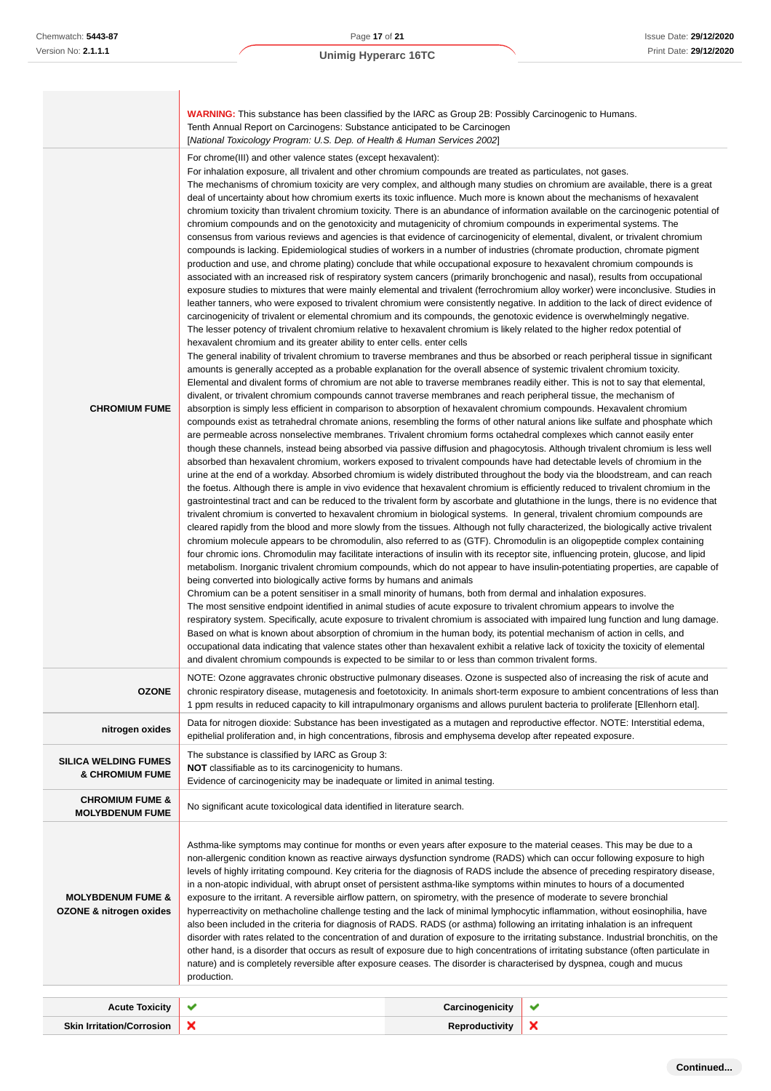|                                                                    | <b>WARNING:</b> This substance has been classified by the IARC as Group 2B: Possibly Carcinogenic to Humans.                                                                                                                                                                                                                                                                                                                                                                                                                                                                                                                                                                                                                                                                                                                                                                                                                                                                                                                                                                                                                                                                                                                                                                                                                                                                                                                                                                                                                                                                                                                                                                                                                                                                                                                                                                                                                                                                                                                                                                                                                                                                                                                                                                                                                                                                                                                                                                                                                                                                                                                                                                                                                                                                                                                                                                                                                                                                                                                                                                                                                                                                                                                                                                                                                                                                                                                                                                                                                                                                                                                                                                                                                                                                                                                                                                                                                                                                                                                                                                                                                                                                                                                                                                                                                                                                                                                                                                                                                                                                                                                                                                                  |                 |   |  |  |
|--------------------------------------------------------------------|-----------------------------------------------------------------------------------------------------------------------------------------------------------------------------------------------------------------------------------------------------------------------------------------------------------------------------------------------------------------------------------------------------------------------------------------------------------------------------------------------------------------------------------------------------------------------------------------------------------------------------------------------------------------------------------------------------------------------------------------------------------------------------------------------------------------------------------------------------------------------------------------------------------------------------------------------------------------------------------------------------------------------------------------------------------------------------------------------------------------------------------------------------------------------------------------------------------------------------------------------------------------------------------------------------------------------------------------------------------------------------------------------------------------------------------------------------------------------------------------------------------------------------------------------------------------------------------------------------------------------------------------------------------------------------------------------------------------------------------------------------------------------------------------------------------------------------------------------------------------------------------------------------------------------------------------------------------------------------------------------------------------------------------------------------------------------------------------------------------------------------------------------------------------------------------------------------------------------------------------------------------------------------------------------------------------------------------------------------------------------------------------------------------------------------------------------------------------------------------------------------------------------------------------------------------------------------------------------------------------------------------------------------------------------------------------------------------------------------------------------------------------------------------------------------------------------------------------------------------------------------------------------------------------------------------------------------------------------------------------------------------------------------------------------------------------------------------------------------------------------------------------------------------------------------------------------------------------------------------------------------------------------------------------------------------------------------------------------------------------------------------------------------------------------------------------------------------------------------------------------------------------------------------------------------------------------------------------------------------------------------------------------------------------------------------------------------------------------------------------------------------------------------------------------------------------------------------------------------------------------------------------------------------------------------------------------------------------------------------------------------------------------------------------------------------------------------------------------------------------------------------------------------------------------------------------------------------------------------------------------------------------------------------------------------------------------------------------------------------------------------------------------------------------------------------------------------------------------------------------------------------------------------------------------------------------------------------------------------------------------------------------------------------------------------------------------|-----------------|---|--|--|
|                                                                    | Tenth Annual Report on Carcinogens: Substance anticipated to be Carcinogen<br>[National Toxicology Program: U.S. Dep. of Health & Human Services 2002]                                                                                                                                                                                                                                                                                                                                                                                                                                                                                                                                                                                                                                                                                                                                                                                                                                                                                                                                                                                                                                                                                                                                                                                                                                                                                                                                                                                                                                                                                                                                                                                                                                                                                                                                                                                                                                                                                                                                                                                                                                                                                                                                                                                                                                                                                                                                                                                                                                                                                                                                                                                                                                                                                                                                                                                                                                                                                                                                                                                                                                                                                                                                                                                                                                                                                                                                                                                                                                                                                                                                                                                                                                                                                                                                                                                                                                                                                                                                                                                                                                                                                                                                                                                                                                                                                                                                                                                                                                                                                                                                        |                 |   |  |  |
| <b>CHROMIUM FUME</b>                                               | For chrome(III) and other valence states (except hexavalent):<br>For inhalation exposure, all trivalent and other chromium compounds are treated as particulates, not gases.<br>The mechanisms of chromium toxicity are very complex, and although many studies on chromium are available, there is a great<br>deal of uncertainty about how chromium exerts its toxic influence. Much more is known about the mechanisms of hexavalent<br>chromium toxicity than trivalent chromium toxicity. There is an abundance of information available on the carcinogenic potential of<br>chromium compounds and on the genotoxicity and mutagenicity of chromium compounds in experimental systems. The<br>consensus from various reviews and agencies is that evidence of carcinogenicity of elemental, divalent, or trivalent chromium<br>compounds is lacking. Epidemiological studies of workers in a number of industries (chromate production, chromate pigment<br>production and use, and chrome plating) conclude that while occupational exposure to hexavalent chromium compounds is<br>associated with an increased risk of respiratory system cancers (primarily bronchogenic and nasal), results from occupational<br>exposure studies to mixtures that were mainly elemental and trivalent (ferrochromium alloy worker) were inconclusive. Studies in<br>leather tanners, who were exposed to trivalent chromium were consistently negative. In addition to the lack of direct evidence of<br>carcinogenicity of trivalent or elemental chromium and its compounds, the genotoxic evidence is overwhelmingly negative.<br>The lesser potency of trivalent chromium relative to hexavalent chromium is likely related to the higher redox potential of<br>hexavalent chromium and its greater ability to enter cells. enter cells<br>The general inability of trivalent chromium to traverse membranes and thus be absorbed or reach peripheral tissue in significant<br>amounts is generally accepted as a probable explanation for the overall absence of systemic trivalent chromium toxicity.<br>Elemental and divalent forms of chromium are not able to traverse membranes readily either. This is not to say that elemental,<br>divalent, or trivalent chromium compounds cannot traverse membranes and reach peripheral tissue, the mechanism of<br>absorption is simply less efficient in comparison to absorption of hexavalent chromium compounds. Hexavalent chromium<br>compounds exist as tetrahedral chromate anions, resembling the forms of other natural anions like sulfate and phosphate which<br>are permeable across nonselective membranes. Trivalent chromium forms octahedral complexes which cannot easily enter<br>though these channels, instead being absorbed via passive diffusion and phagocytosis. Although trivalent chromium is less well<br>absorbed than hexavalent chromium, workers exposed to trivalent compounds have had detectable levels of chromium in the<br>urine at the end of a workday. Absorbed chromium is widely distributed throughout the body via the bloodstream, and can reach<br>the foetus. Although there is ample in vivo evidence that hexavalent chromium is efficiently reduced to trivalent chromium in the<br>gastrointestinal tract and can be reduced to the trivalent form by ascorbate and glutathione in the lungs, there is no evidence that<br>trivalent chromium is converted to hexavalent chromium in biological systems. In general, trivalent chromium compounds are<br>cleared rapidly from the blood and more slowly from the tissues. Although not fully characterized, the biologically active trivalent<br>chromium molecule appears to be chromodulin, also referred to as (GTF). Chromodulin is an oligopeptide complex containing<br>four chromic ions. Chromodulin may facilitate interactions of insulin with its receptor site, influencing protein, glucose, and lipid<br>metabolism. Inorganic trivalent chromium compounds, which do not appear to have insulin-potentiating properties, are capable of<br>being converted into biologically active forms by humans and animals<br>Chromium can be a potent sensitiser in a small minority of humans, both from dermal and inhalation exposures.<br>The most sensitive endpoint identified in animal studies of acute exposure to trivalent chromium appears to involve the<br>respiratory system. Specifically, acute exposure to trivalent chromium is associated with impaired lung function and lung damage.<br>Based on what is known about absorption of chromium in the human body, its potential mechanism of action in cells, and |                 |   |  |  |
| <b>OZONE</b>                                                       | NOTE: Ozone aggravates chronic obstructive pulmonary diseases. Ozone is suspected also of increasing the risk of acute and<br>chronic respiratory disease, mutagenesis and foetotoxicity. In animals short-term exposure to ambient concentrations of less than<br>1 ppm results in reduced capacity to kill intrapulmonary organisms and allows purulent bacteria to proliferate [Ellenhorn etal].                                                                                                                                                                                                                                                                                                                                                                                                                                                                                                                                                                                                                                                                                                                                                                                                                                                                                                                                                                                                                                                                                                                                                                                                                                                                                                                                                                                                                                                                                                                                                                                                                                                                                                                                                                                                                                                                                                                                                                                                                                                                                                                                                                                                                                                                                                                                                                                                                                                                                                                                                                                                                                                                                                                                                                                                                                                                                                                                                                                                                                                                                                                                                                                                                                                                                                                                                                                                                                                                                                                                                                                                                                                                                                                                                                                                                                                                                                                                                                                                                                                                                                                                                                                                                                                                                           |                 |   |  |  |
| nitrogen oxides                                                    | Data for nitrogen dioxide: Substance has been investigated as a mutagen and reproductive effector. NOTE: Interstitial edema,<br>epithelial proliferation and, in high concentrations, fibrosis and emphysema develop after repeated exposure.                                                                                                                                                                                                                                                                                                                                                                                                                                                                                                                                                                                                                                                                                                                                                                                                                                                                                                                                                                                                                                                                                                                                                                                                                                                                                                                                                                                                                                                                                                                                                                                                                                                                                                                                                                                                                                                                                                                                                                                                                                                                                                                                                                                                                                                                                                                                                                                                                                                                                                                                                                                                                                                                                                                                                                                                                                                                                                                                                                                                                                                                                                                                                                                                                                                                                                                                                                                                                                                                                                                                                                                                                                                                                                                                                                                                                                                                                                                                                                                                                                                                                                                                                                                                                                                                                                                                                                                                                                                 |                 |   |  |  |
| <b>SILICA WELDING FUMES</b><br><b>&amp; CHROMIUM FUME</b>          | The substance is classified by IARC as Group 3:<br><b>NOT</b> classifiable as to its carcinogenicity to humans.<br>Evidence of carcinogenicity may be inadequate or limited in animal testing.                                                                                                                                                                                                                                                                                                                                                                                                                                                                                                                                                                                                                                                                                                                                                                                                                                                                                                                                                                                                                                                                                                                                                                                                                                                                                                                                                                                                                                                                                                                                                                                                                                                                                                                                                                                                                                                                                                                                                                                                                                                                                                                                                                                                                                                                                                                                                                                                                                                                                                                                                                                                                                                                                                                                                                                                                                                                                                                                                                                                                                                                                                                                                                                                                                                                                                                                                                                                                                                                                                                                                                                                                                                                                                                                                                                                                                                                                                                                                                                                                                                                                                                                                                                                                                                                                                                                                                                                                                                                                                |                 |   |  |  |
| <b>CHROMIUM FUME &amp;</b><br><b>MOLYBDENUM FUME</b>               | No significant acute toxicological data identified in literature search.                                                                                                                                                                                                                                                                                                                                                                                                                                                                                                                                                                                                                                                                                                                                                                                                                                                                                                                                                                                                                                                                                                                                                                                                                                                                                                                                                                                                                                                                                                                                                                                                                                                                                                                                                                                                                                                                                                                                                                                                                                                                                                                                                                                                                                                                                                                                                                                                                                                                                                                                                                                                                                                                                                                                                                                                                                                                                                                                                                                                                                                                                                                                                                                                                                                                                                                                                                                                                                                                                                                                                                                                                                                                                                                                                                                                                                                                                                                                                                                                                                                                                                                                                                                                                                                                                                                                                                                                                                                                                                                                                                                                                      |                 |   |  |  |
| <b>MOLYBDENUM FUME &amp;</b><br><b>OZONE &amp; nitrogen oxides</b> | Asthma-like symptoms may continue for months or even years after exposure to the material ceases. This may be due to a<br>non-allergenic condition known as reactive airways dysfunction syndrome (RADS) which can occur following exposure to high<br>levels of highly irritating compound. Key criteria for the diagnosis of RADS include the absence of preceding respiratory disease,<br>in a non-atopic individual, with abrupt onset of persistent asthma-like symptoms within minutes to hours of a documented<br>exposure to the irritant. A reversible airflow pattern, on spirometry, with the presence of moderate to severe bronchial<br>hyperreactivity on methacholine challenge testing and the lack of minimal lymphocytic inflammation, without eosinophilia, have<br>also been included in the criteria for diagnosis of RADS. RADS (or asthma) following an irritating inhalation is an infrequent<br>disorder with rates related to the concentration of and duration of exposure to the irritating substance. Industrial bronchitis, on the<br>other hand, is a disorder that occurs as result of exposure due to high concentrations of irritating substance (often particulate in<br>nature) and is completely reversible after exposure ceases. The disorder is characterised by dyspnea, cough and mucus<br>production.                                                                                                                                                                                                                                                                                                                                                                                                                                                                                                                                                                                                                                                                                                                                                                                                                                                                                                                                                                                                                                                                                                                                                                                                                                                                                                                                                                                                                                                                                                                                                                                                                                                                                                                                                                                                                                                                                                                                                                                                                                                                                                                                                                                                                                                                                                                                                                                                                                                                                                                                                                                                                                                                                                                                                                                                                                                                                                                                                                                                                                                                                                                                                                                                                                                                                                                                              |                 |   |  |  |
| <b>Acute Toxicity</b>                                              | ✔                                                                                                                                                                                                                                                                                                                                                                                                                                                                                                                                                                                                                                                                                                                                                                                                                                                                                                                                                                                                                                                                                                                                                                                                                                                                                                                                                                                                                                                                                                                                                                                                                                                                                                                                                                                                                                                                                                                                                                                                                                                                                                                                                                                                                                                                                                                                                                                                                                                                                                                                                                                                                                                                                                                                                                                                                                                                                                                                                                                                                                                                                                                                                                                                                                                                                                                                                                                                                                                                                                                                                                                                                                                                                                                                                                                                                                                                                                                                                                                                                                                                                                                                                                                                                                                                                                                                                                                                                                                                                                                                                                                                                                                                                             | Carcinogenicity | ✔ |  |  |
| <b>Skin Irritation/Corrosion</b>                                   | ×                                                                                                                                                                                                                                                                                                                                                                                                                                                                                                                                                                                                                                                                                                                                                                                                                                                                                                                                                                                                                                                                                                                                                                                                                                                                                                                                                                                                                                                                                                                                                                                                                                                                                                                                                                                                                                                                                                                                                                                                                                                                                                                                                                                                                                                                                                                                                                                                                                                                                                                                                                                                                                                                                                                                                                                                                                                                                                                                                                                                                                                                                                                                                                                                                                                                                                                                                                                                                                                                                                                                                                                                                                                                                                                                                                                                                                                                                                                                                                                                                                                                                                                                                                                                                                                                                                                                                                                                                                                                                                                                                                                                                                                                                             | Reproductivity  | × |  |  |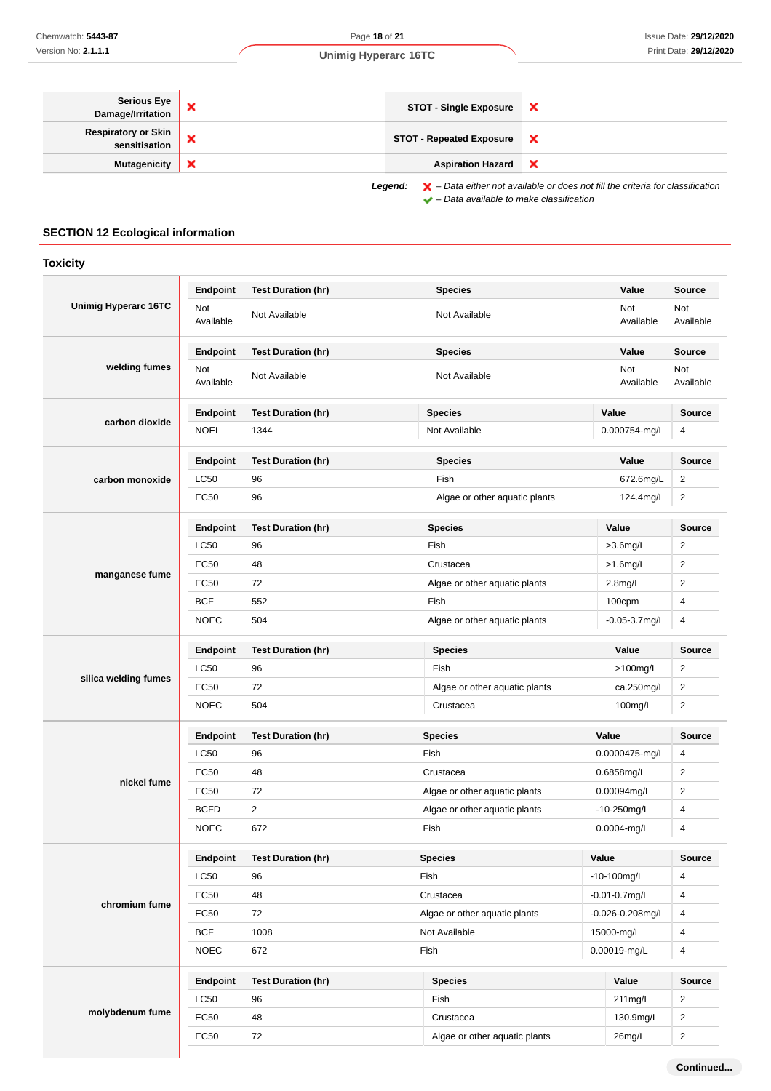| Serious Eye<br>Damage/Irritation                                                                                                                                               | ×                         | <b>STOT - Single Exposure</b>   | $\boldsymbol{\mathsf{x}}$ |
|--------------------------------------------------------------------------------------------------------------------------------------------------------------------------------|---------------------------|---------------------------------|---------------------------|
| Respiratory or Skin<br>sensitisation                                                                                                                                           | ×                         | <b>STOT - Repeated Exposure</b> | $\boldsymbol{\mathsf{x}}$ |
| <b>Mutagenicity</b>                                                                                                                                                            | $\boldsymbol{\mathsf{x}}$ | <b>Aspiration Hazard</b>        | $\boldsymbol{\mathsf{x}}$ |
| $\blacktriangleright$ - Data either not available or does not fill the criteria for classification<br>Legend:<br>$\blacktriangleright$ - Data available to make classification |                           |                                 |                           |

# **SECTION 12 Ecological information**

| <b>Toxicity</b>      |                  |                           |                               |                  |                       |                  |
|----------------------|------------------|---------------------------|-------------------------------|------------------|-----------------------|------------------|
|                      | Endpoint         | <b>Test Duration (hr)</b> | <b>Species</b>                |                  | Value                 | <b>Source</b>    |
| Unimig Hyperarc 16TC | Not<br>Available | Not Available             | Not Available                 | Not<br>Available |                       | Not<br>Available |
|                      | Endpoint         | <b>Test Duration (hr)</b> | <b>Species</b>                |                  | Value                 | Source           |
| welding fumes        | Not<br>Available | Not Available             | Not Available                 |                  | Not<br>Available      | Not<br>Available |
|                      | Endpoint         | <b>Test Duration (hr)</b> | <b>Species</b>                |                  | Value                 | <b>Source</b>    |
| carbon dioxide       | <b>NOEL</b>      | 1344                      | Not Available                 |                  | 0.000754-mg/L         | 4                |
|                      | <b>Endpoint</b>  | <b>Test Duration (hr)</b> | <b>Species</b>                |                  | Value                 | <b>Source</b>    |
| carbon monoxide      | <b>LC50</b>      | 96                        | Fish                          |                  | 672.6mg/L             | $\overline{2}$   |
|                      | EC50             | 96                        | Algae or other aquatic plants |                  | 124.4mg/L             | $\overline{2}$   |
|                      | Endpoint         | <b>Test Duration (hr)</b> | <b>Species</b>                |                  | Value                 | <b>Source</b>    |
|                      | <b>LC50</b>      | 96                        | Fish                          |                  | $>3.6$ mg/L           | $\overline{2}$   |
|                      | <b>EC50</b>      | 48                        | Crustacea                     |                  | $>1.6$ mg/L           | 2                |
| manganese fume       | EC50             | 72                        | Algae or other aquatic plants |                  | $2.8$ mg/L            | $\overline{2}$   |
|                      | <b>BCF</b>       | 552                       | Fish                          |                  | 100cpm                | 4                |
|                      | <b>NOEC</b>      | 504                       | Algae or other aquatic plants |                  | $-0.05 - 3.7$ mg/L    | 4                |
|                      | Endpoint         | <b>Test Duration (hr)</b> | <b>Species</b>                |                  | Value                 | <b>Source</b>    |
|                      | <b>LC50</b>      | 96                        | Fish                          |                  | $>100$ mg/L           | $\overline{2}$   |
| silica welding fumes | EC50             | 72                        | Algae or other aquatic plants |                  | ca.250mg/L            | $\overline{2}$   |
|                      | <b>NOEC</b>      | 504                       | Crustacea                     |                  | 100mg/L               | $\overline{2}$   |
|                      | Endpoint         | <b>Test Duration (hr)</b> | <b>Species</b>                |                  | Value                 | <b>Source</b>    |
|                      | <b>LC50</b>      | 96                        | Fish                          |                  | 0.0000475-mg/L        | 4                |
|                      | <b>EC50</b>      | 48                        | Crustacea                     |                  | 0.6858mg/L            | $\overline{2}$   |
| nickel fume          | EC50             | 72                        | Algae or other aquatic plants |                  | 0.00094mg/L           | $\overline{c}$   |
|                      | <b>BCFD</b>      | 2                         | Algae or other aquatic plants |                  | $-10-250$ mg/L        | 4                |
|                      | <b>NOEC</b>      | 672                       | Fish                          |                  | 0.0004-mg/L           | 4                |
|                      | <b>Endpoint</b>  | <b>Test Duration (hr)</b> | <b>Species</b>                | Value            |                       | <b>Source</b>    |
|                      | LC50             | 96                        | Fish                          |                  | $-10-100$ mg/L        | $\overline{4}$   |
|                      | EC50             | 48                        | Crustacea                     |                  | $-0.01 - 0.7$ mg/L    | 4                |
| chromium fume        | EC50             | 72                        | Algae or other aquatic plants |                  | $-0.026 - 0.208$ mg/L | $\overline{4}$   |
|                      | <b>BCF</b>       | 1008                      | Not Available                 |                  | 15000-mg/L            | 4                |
|                      | <b>NOEC</b>      | 672                       | Fish                          |                  | 0.00019-mg/L          | 4                |
|                      | Endpoint         | <b>Test Duration (hr)</b> | <b>Species</b>                |                  | Value                 | Source           |
|                      |                  |                           |                               |                  |                       |                  |
|                      | <b>LC50</b>      | 96                        | Fish                          |                  | 211mg/L               | $\overline{2}$   |
| molybdenum fume      | <b>EC50</b>      | 48                        | Crustacea                     |                  | 130.9mg/L             | $\overline{c}$   |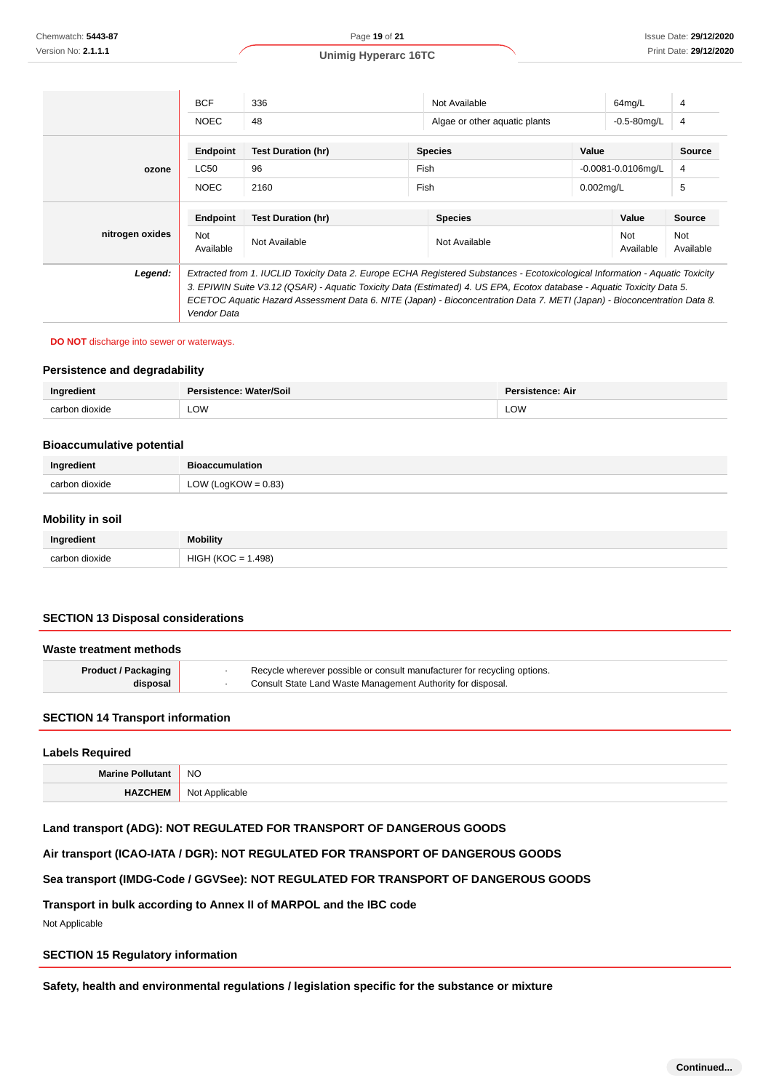|                 | <b>BCF</b>                                                                                                                                                                                                                                                                                                                                                                                         | 336                       | Not Available                 |              | 64mg/L                  | 4                |
|-----------------|----------------------------------------------------------------------------------------------------------------------------------------------------------------------------------------------------------------------------------------------------------------------------------------------------------------------------------------------------------------------------------------------------|---------------------------|-------------------------------|--------------|-------------------------|------------------|
|                 | <b>NOEC</b>                                                                                                                                                                                                                                                                                                                                                                                        | 48                        | Algae or other aquatic plants |              | $-0.5 - 80$ mg/L        | 4                |
|                 | Endpoint                                                                                                                                                                                                                                                                                                                                                                                           | <b>Test Duration (hr)</b> | <b>Species</b>                | Value        |                         | <b>Source</b>    |
| ozone           | <b>LC50</b>                                                                                                                                                                                                                                                                                                                                                                                        | 96                        | Fish                          |              | $-0.0081 - 0.0106$ mg/L | 4                |
|                 | <b>NOEC</b>                                                                                                                                                                                                                                                                                                                                                                                        | 2160                      | Fish                          | $0.002$ mg/L |                         | 5                |
|                 | <b>Endpoint</b>                                                                                                                                                                                                                                                                                                                                                                                    | <b>Test Duration (hr)</b> | <b>Species</b>                |              | Value                   | Source           |
| nitrogen oxides | <b>Not</b><br>Available                                                                                                                                                                                                                                                                                                                                                                            | Not Available             | Not Available                 |              | <b>Not</b><br>Available | Not<br>Available |
| Legend:         | Extracted from 1. IUCLID Toxicity Data 2. Europe ECHA Registered Substances - Ecotoxicological Information - Aquatic Toxicity<br>3. EPIWIN Suite V3.12 (QSAR) - Aquatic Toxicity Data (Estimated) 4. US EPA, Ecotox database - Aquatic Toxicity Data 5.<br>ECETOC Aquatic Hazard Assessment Data 6. NITE (Japan) - Bioconcentration Data 7. METI (Japan) - Bioconcentration Data 8.<br>Vendor Data |                           |                               |              |                         |                  |

#### **DO NOT** discharge into sewer or waterways.

#### **Persistence and degradability**

| Ingredient<br>Persistence: Water/Soil |            | Persistence: Air |
|---------------------------------------|------------|------------------|
| carbon dioxide                        | <b>LOW</b> | LOW              |

#### **Bioaccumulative potential**

| Ingredient     | <b>Bioaccumulation</b> |  |
|----------------|------------------------|--|
| carbon dioxide | LOW (LogKOW = $0.83$ ) |  |

#### **Mobility in soil**

| Ingredient          | <b>Mobility</b>                                  |
|---------------------|--------------------------------------------------|
| carbon dioxide<br>. | .498)<br>⊣ <i>ï</i> k∪r<br><b>HIGH</b><br>$\sim$ |

#### **SECTION 13 Disposal considerations**

| Waste treatment methods                                                                                |  |                                                             |
|--------------------------------------------------------------------------------------------------------|--|-------------------------------------------------------------|
| Recycle wherever possible or consult manufacturer for recycling options.<br><b>Product / Packaging</b> |  |                                                             |
| disposal                                                                                               |  | Consult State Land Waste Management Authority for disposal. |

#### **SECTION 14 Transport information**

| <b>Labels Required</b> |                |  |
|------------------------|----------------|--|
| Marine Pollutant NO    |                |  |
| HAZCHEM                | Not Applicable |  |

## **Land transport (ADG): NOT REGULATED FOR TRANSPORT OF DANGEROUS GOODS**

**Air transport (ICAO-IATA / DGR): NOT REGULATED FOR TRANSPORT OF DANGEROUS GOODS**

## **Sea transport (IMDG-Code / GGVSee): NOT REGULATED FOR TRANSPORT OF DANGEROUS GOODS**

#### **Transport in bulk according to Annex II of MARPOL and the IBC code**

Not Applicable

#### **SECTION 15 Regulatory information**

**Safety, health and environmental regulations / legislation specific for the substance or mixture**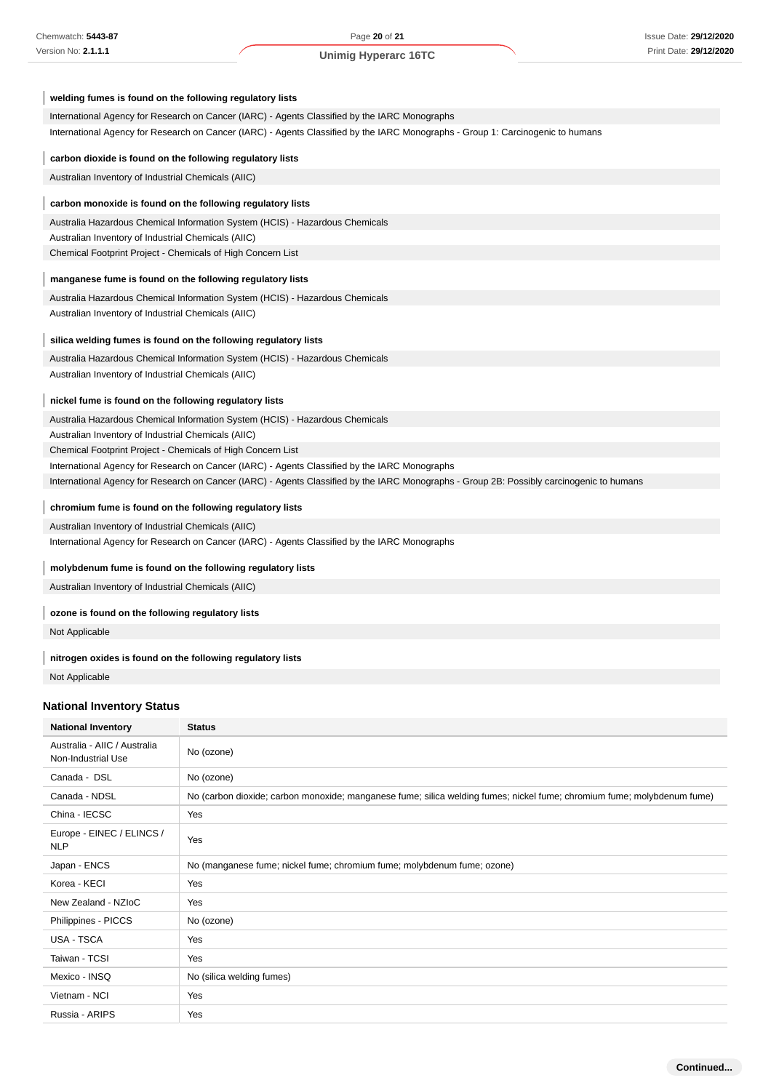| welding fumes is found on the following regulatory lists                                                                                  |
|-------------------------------------------------------------------------------------------------------------------------------------------|
| International Agency for Research on Cancer (IARC) - Agents Classified by the IARC Monographs                                             |
| International Agency for Research on Cancer (IARC) - Agents Classified by the IARC Monographs - Group 1: Carcinogenic to humans           |
| carbon dioxide is found on the following regulatory lists                                                                                 |
| Australian Inventory of Industrial Chemicals (AIIC)                                                                                       |
| carbon monoxide is found on the following regulatory lists                                                                                |
| Australia Hazardous Chemical Information System (HCIS) - Hazardous Chemicals                                                              |
| Australian Inventory of Industrial Chemicals (AIIC)                                                                                       |
| Chemical Footprint Project - Chemicals of High Concern List                                                                               |
| manganese fume is found on the following regulatory lists                                                                                 |
| Australia Hazardous Chemical Information System (HCIS) - Hazardous Chemicals                                                              |
| Australian Inventory of Industrial Chemicals (AIIC)                                                                                       |
| silica welding fumes is found on the following regulatory lists                                                                           |
| Australia Hazardous Chemical Information System (HCIS) - Hazardous Chemicals                                                              |
| Australian Inventory of Industrial Chemicals (AIIC)                                                                                       |
| nickel fume is found on the following regulatory lists                                                                                    |
| Australia Hazardous Chemical Information System (HCIS) - Hazardous Chemicals                                                              |
| Australian Inventory of Industrial Chemicals (AIIC)                                                                                       |
| Chemical Footprint Project - Chemicals of High Concern List                                                                               |
| International Agency for Research on Cancer (IARC) - Agents Classified by the IARC Monographs                                             |
| International Agency for Research on Cancer (IARC) - Agents Classified by the IARC Monographs - Group 2B: Possibly carcinogenic to humans |
| chromium fume is found on the following regulatory lists                                                                                  |
| Australian Inventory of Industrial Chemicals (AIIC)                                                                                       |
| International Agency for Research on Cancer (IARC) - Agents Classified by the IARC Monographs                                             |
| molybdenum fume is found on the following regulatory lists                                                                                |
| Australian Inventory of Industrial Chemicals (AIIC)                                                                                       |
| ozone is found on the following regulatory lists                                                                                          |
| Not Applicable                                                                                                                            |
| nitrogen oxides is found on the following regulatory lists                                                                                |

Not Applicable

# **National Inventory Status**

| <b>National Inventory</b>                          | <b>Status</b>                                                                                                           |  |
|----------------------------------------------------|-------------------------------------------------------------------------------------------------------------------------|--|
| Australia - AIIC / Australia<br>Non-Industrial Use | No (ozone)                                                                                                              |  |
| Canada - DSL                                       | No (ozone)                                                                                                              |  |
| Canada - NDSL                                      | No (carbon dioxide; carbon monoxide; manganese fume; silica welding fumes; nickel fume; chromium fume; molybdenum fume) |  |
| China - IECSC                                      | Yes                                                                                                                     |  |
| Europe - EINEC / ELINCS /<br><b>NLP</b>            | Yes                                                                                                                     |  |
| Japan - ENCS                                       | No (manganese fume; nickel fume; chromium fume; molybdenum fume; ozone)                                                 |  |
| Korea - KECI                                       | Yes                                                                                                                     |  |
| New Zealand - NZIoC                                | Yes                                                                                                                     |  |
| Philippines - PICCS                                | No (ozone)                                                                                                              |  |
| USA - TSCA                                         | Yes                                                                                                                     |  |
| Taiwan - TCSI                                      | Yes                                                                                                                     |  |
| Mexico - INSQ                                      | No (silica welding fumes)                                                                                               |  |
| Vietnam - NCI                                      | Yes                                                                                                                     |  |
| Russia - ARIPS                                     | Yes                                                                                                                     |  |